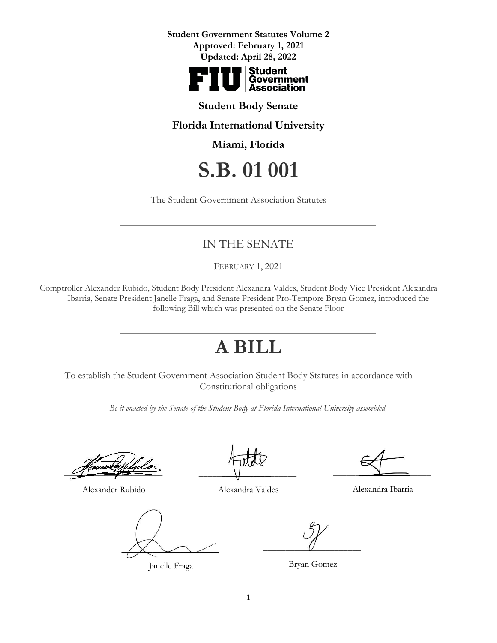

#### **Student Body Senate**

**Florida International University**

**Miami, Florida** 

# **S.B. 01 001**

The Student Government Association Statutes

### IN THE SENATE

FEBRUARY 1, 2021

Comptroller Alexander Rubido, Student Body President Alexandra Valdes, Student Body Vice President Alexandra Ibarria, Senate President Janelle Fraga, and Senate President Pro-Tempore Bryan Gomez, introduced the following Bill which was presented on the Senate Floor

## **A BILL**

To establish the Student Government Association Student Body Statutes in accordance with Constitutional obligations

*Be it enacted by the Senate of the Student Body at Florida International University assembled,*

 $\sqrt{2}$ 

Alexander Rubido

 $\sqrt{\times}$ 

Janelle Fraga

 $\overline{\phantom{a}}$  ,  $\overline{\phantom{a}}$  ,  $\overline{\phantom{a}}$  ,  $\overline{\phantom{a}}$  ,  $\overline{\phantom{a}}$  ,  $\overline{\phantom{a}}$  ,  $\overline{\phantom{a}}$  ,  $\overline{\phantom{a}}$  ,  $\overline{\phantom{a}}$  ,  $\overline{\phantom{a}}$  ,  $\overline{\phantom{a}}$  ,  $\overline{\phantom{a}}$  ,  $\overline{\phantom{a}}$  ,  $\overline{\phantom{a}}$  ,  $\overline{\phantom{a}}$  ,  $\overline{\phantom{a}}$ 

Alexandra Valdes

 $\frac{1}{\sqrt{1-\frac{1}{2}}}\frac{1}{\sqrt{1-\frac{1}{2}}}\frac{1}{\sqrt{1-\frac{1}{2}}}\frac{1}{\sqrt{1-\frac{1}{2}}}\frac{1}{\sqrt{1-\frac{1}{2}}}\frac{1}{\sqrt{1-\frac{1}{2}}}\frac{1}{\sqrt{1-\frac{1}{2}}}\frac{1}{\sqrt{1-\frac{1}{2}}}\frac{1}{\sqrt{1-\frac{1}{2}}}\frac{1}{\sqrt{1-\frac{1}{2}}}\frac{1}{\sqrt{1-\frac{1}{2}}}\frac{1}{\sqrt{1-\frac{1}{2}}}\frac{1}{\sqrt{1-\frac{1}{2}}}\frac{1}{\sqrt{1-\frac{$ 

Alexandra Ibarria

 $\overline{U}$ 

Bryan Gomez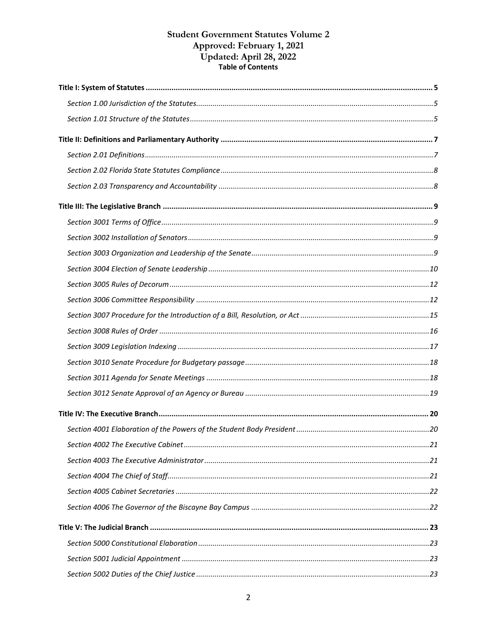# **Student Government Statutes Volume 2** Approved: February 1, 2021<br>Updated: April 28, 2022<br>Table of Contents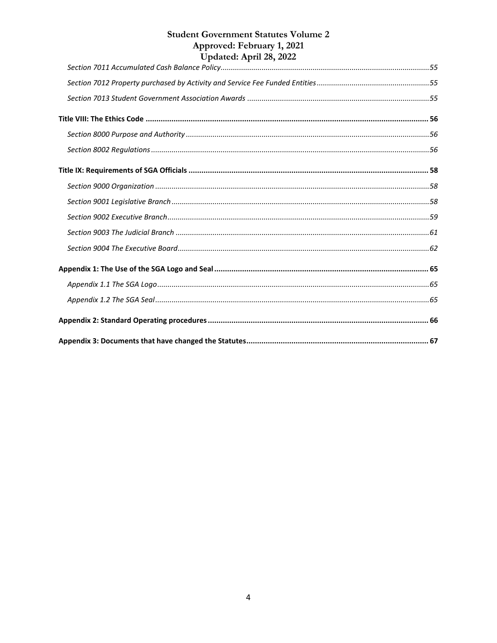<span id="page-3-0"></span>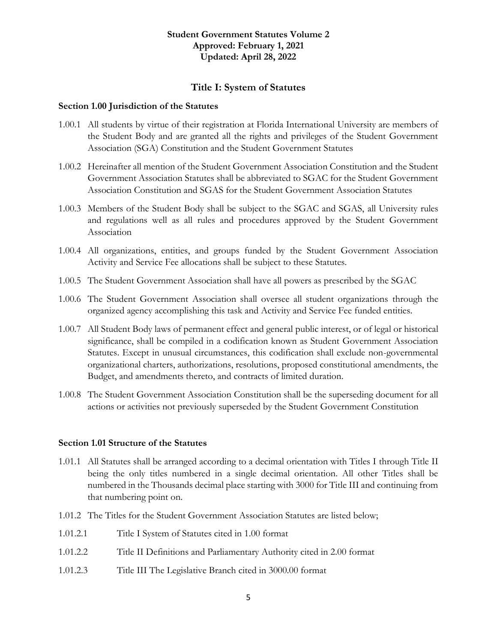#### **Title I: System of Statutes**

#### <span id="page-4-0"></span>**Section 1.00 Jurisdiction of the Statutes**

- 1.00.1 All students by virtue of their registration at Florida International University are members of the Student Body and are granted all the rights and privileges of the Student Government Association (SGA) Constitution and the Student Government Statutes
- 1.00.2 Hereinafter all mention of the Student Government Association Constitution and the Student Government Association Statutes shall be abbreviated to SGAC for the Student Government Association Constitution and SGAS for the Student Government Association Statutes
- 1.00.3 Members of the Student Body shall be subject to the SGAC and SGAS, all University rules and regulations well as all rules and procedures approved by the Student Government Association
- 1.00.4 All organizations, entities, and groups funded by the Student Government Association Activity and Service Fee allocations shall be subject to these Statutes.
- 1.00.5 The Student Government Association shall have all powers as prescribed by the SGAC
- 1.00.6 The Student Government Association shall oversee all student organizations through the organized agency accomplishing this task and Activity and Service Fee funded entities.
- 1.00.7 All Student Body laws of permanent effect and general public interest, or of legal or historical significance, shall be compiled in a codification known as Student Government Association Statutes. Except in unusual circumstances, this codification shall exclude non-governmental organizational charters, authorizations, resolutions, proposed constitutional amendments, the Budget, and amendments thereto, and contracts of limited duration.
- 1.00.8 The Student Government Association Constitution shall be the superseding document for all actions or activities not previously superseded by the Student Government Constitution

#### <span id="page-4-1"></span>**Section 1.01 Structure of the Statutes**

- 1.01.1 All Statutes shall be arranged according to a decimal orientation with Titles I through Title II being the only titles numbered in a single decimal orientation. All other Titles shall be numbered in the Thousands decimal place starting with 3000 for Title III and continuing from that numbering point on.
- 1.01.2 The Titles for the Student Government Association Statutes are listed below;
- 1.01.2.1 Title I System of Statutes cited in 1.00 format
- 1.01.2.2 Title II Definitions and Parliamentary Authority cited in 2.00 format
- 1.01.2.3 Title III The Legislative Branch cited in 3000.00 format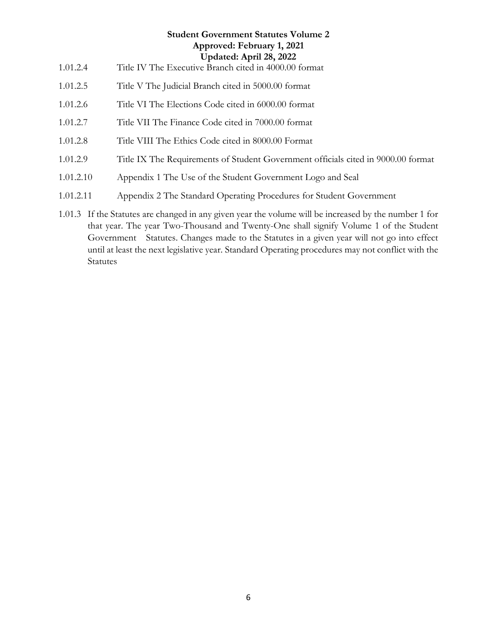## **Student Government Statutes Volume 2 Approved: February 1, 2021 Updated: April 28, 2022** 1.01.2.4 Title IV The Executive Branch cited in 4000.00 format 1.01.2.5 Title V The Judicial Branch cited in 5000.00 format 1.01.2.6 Title VI The Elections Code cited in 6000.00 format 1.01.2.7 Title VII The Finance Code cited in 7000.00 format 1.01.2.8 Title VIII The Ethics Code cited in 8000.00 Format

- 1.01.2.9 Title IX The Requirements of Student Government officials cited in 9000.00 format
- 1.01.2.10 Appendix 1 The Use of the Student Government Logo and Seal
- 1.01.2.11 Appendix 2 The Standard Operating Procedures for Student Government
- 1.01.3 If the Statutes are changed in any given year the volume will be increased by the number 1 for that year. The year Two-Thousand and Twenty-One shall signify Volume 1 of the Student Government Statutes. Changes made to the Statutes in a given year will not go into effect until at least the next legislative year. Standard Operating procedures may not conflict with the **Statutes**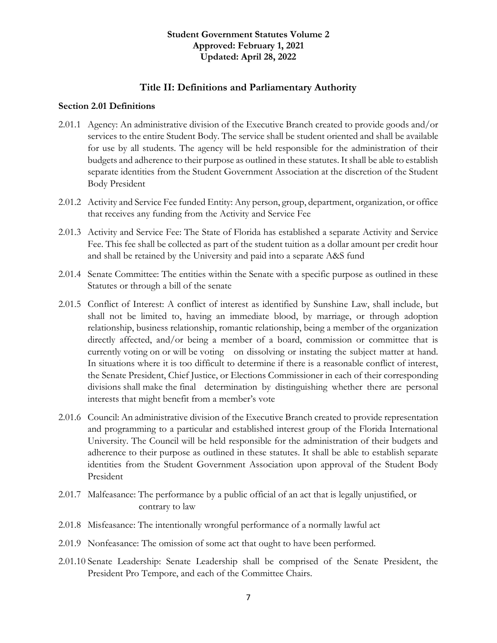#### **Title II: Definitions and Parliamentary Authority**

#### <span id="page-6-1"></span><span id="page-6-0"></span>**Section 2.01 Definitions**

- 2.01.1 Agency: An administrative division of the Executive Branch created to provide goods and/or services to the entire Student Body. The service shall be student oriented and shall be available for use by all students. The agency will be held responsible for the administration of their budgets and adherence to their purpose as outlined in these statutes. It shall be able to establish separate identities from the Student Government Association at the discretion of the Student Body President
- 2.01.2 Activity and Service Fee funded Entity: Any person, group, department, organization, or office that receives any funding from the Activity and Service Fee
- 2.01.3 Activity and Service Fee: The State of Florida has established a separate Activity and Service Fee. This fee shall be collected as part of the student tuition as a dollar amount per credit hour and shall be retained by the University and paid into a separate A&S fund
- 2.01.4 Senate Committee: The entities within the Senate with a specific purpose as outlined in these Statutes or through a bill of the senate
- 2.01.5 Conflict of Interest: A conflict of interest as identified by Sunshine Law, shall include, but shall not be limited to, having an immediate blood, by marriage, or through adoption relationship, business relationship, romantic relationship, being a member of the organization directly affected, and/or being a member of a board, commission or committee that is currently voting on or will be voting on dissolving or instating the subject matter at hand. In situations where it is too difficult to determine if there is a reasonable conflict of interest, the Senate President, Chief Justice, or Elections Commissioner in each of their corresponding divisions shall make the final determination by distinguishing whether there are personal interests that might benefit from a member's vote
- 2.01.6 Council: An administrative division of the Executive Branch created to provide representation and programming to a particular and established interest group of the Florida International University. The Council will be held responsible for the administration of their budgets and adherence to their purpose as outlined in these statutes. It shall be able to establish separate identities from the Student Government Association upon approval of the Student Body President
- 2.01.7 Malfeasance: The performance by a public official of an act that is legally unjustified, or contrary to law
- 2.01.8 Misfeasance: The intentionally wrongful performance of a normally lawful act
- 2.01.9 Nonfeasance: The omission of some act that ought to have been performed.
- 2.01.10 Senate Leadership: Senate Leadership shall be comprised of the Senate President, the President Pro Tempore, and each of the Committee Chairs.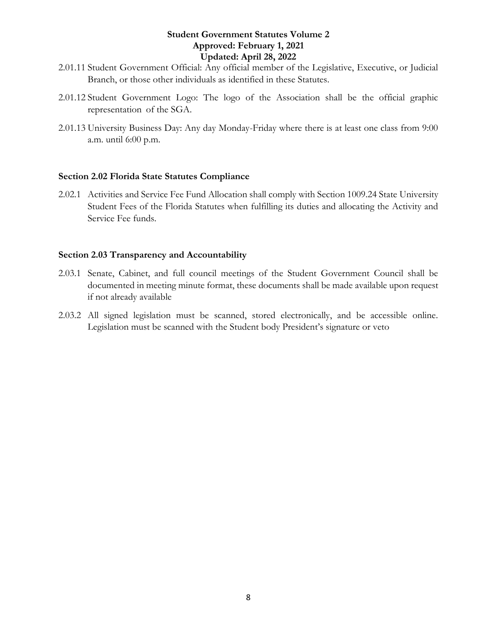- 2.01.11 Student Government Official: Any official member of the Legislative, Executive, or Judicial Branch, or those other individuals as identified in these Statutes.
- 2.01.12 Student Government Logo: The logo of the Association shall be the official graphic representation of the SGA.
- 2.01.13 University Business Day: Any day Monday-Friday where there is at least one class from 9:00 a.m. until 6:00 p.m.

#### <span id="page-7-0"></span>**Section 2.02 Florida State Statutes Compliance**

2.02.1 Activities and Service Fee Fund Allocation shall comply with Section 1009.24 State University Student Fees of the Florida Statutes when fulfilling its duties and allocating the Activity and Service Fee funds.

#### <span id="page-7-1"></span>**Section 2.03 Transparency and Accountability**

- 2.03.1 Senate, Cabinet, and full council meetings of the Student Government Council shall be documented in meeting minute format, these documents shall be made available upon request if not already available
- 2.03.2 All signed legislation must be scanned, stored electronically, and be accessible online. Legislation must be scanned with the Student body President's signature or veto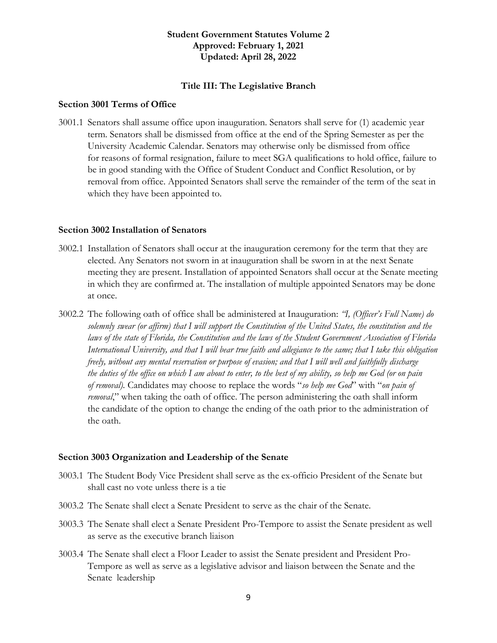#### **Title III: The Legislative Branch**

#### <span id="page-8-1"></span><span id="page-8-0"></span>**Section 3001 Terms of Office**

3001.1 Senators shall assume office upon inauguration. Senators shall serve for (1) academic year term. Senators shall be dismissed from office at the end of the Spring Semester as per the University Academic Calendar. Senators may otherwise only be dismissed from office for reasons of formal resignation, failure to meet SGA qualifications to hold office, failure to be in good standing with the Office of Student Conduct and Conflict Resolution, or by removal from office. Appointed Senators shall serve the remainder of the term of the seat in which they have been appointed to.

#### <span id="page-8-2"></span>**Section 3002 Installation of Senators**

- 3002.1 Installation of Senators shall occur at the inauguration ceremony for the term that they are elected. Any Senators not sworn in at inauguration shall be sworn in at the next Senate meeting they are present. Installation of appointed Senators shall occur at the Senate meeting in which they are confirmed at. The installation of multiple appointed Senators may be done at once.
- 3002.2 The following oath of office shall be administered at Inauguration: *"I, (Officer's Full Name) do solemnly swear (or affirm) that I will support the Constitution of the United States, the constitution and the laws of the state of Florida, the Constitution and the laws of the Student Government Association of Florida International University, and that I will bear true faith and allegiance to the same; that I take this obligation freely, without any mental reservation or purpose of evasion; and that I will well and faithfully discharge the duties of the office on which I am about to enter, to the best of my ability, so help me God (or on pain of removal).* Candidates may choose to replace the words "*so help me God*" with "*on pain of removal*," when taking the oath of office. The person administering the oath shall inform the candidate of the option to change the ending of the oath prior to the administration of the oath.

#### <span id="page-8-3"></span>**Section 3003 Organization and Leadership of the Senate**

- 3003.1 The Student Body Vice President shall serve as the ex-officio President of the Senate but shall cast no vote unless there is a tie
- 3003.2 The Senate shall elect a Senate President to serve as the chair of the Senate.
- 3003.3 The Senate shall elect a Senate President Pro-Tempore to assist the Senate president as well as serve as the executive branch liaison
- 3003.4 The Senate shall elect a Floor Leader to assist the Senate president and President Pro-Tempore as well as serve as a legislative advisor and liaison between the Senate and the Senate leadership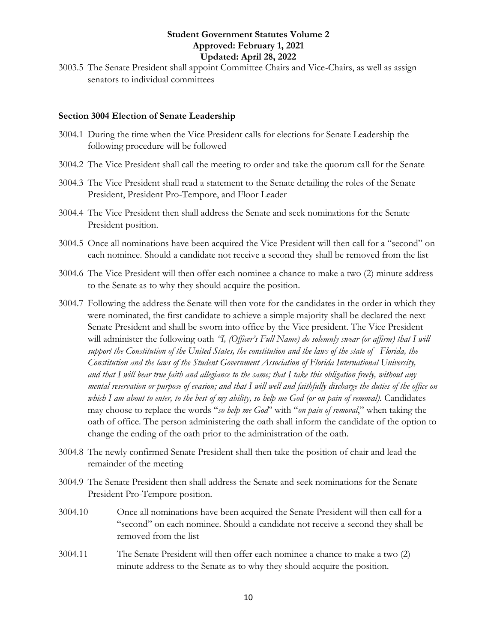3003.5 The Senate President shall appoint Committee Chairs and Vice-Chairs, as well as assign senators to individual committees

#### <span id="page-9-0"></span>**Section 3004 Election of Senate Leadership**

- 3004.1 During the time when the Vice President calls for elections for Senate Leadership the following procedure will be followed
- 3004.2 The Vice President shall call the meeting to order and take the quorum call for the Senate
- 3004.3 The Vice President shall read a statement to the Senate detailing the roles of the Senate President, President Pro-Tempore, and Floor Leader
- 3004.4 The Vice President then shall address the Senate and seek nominations for the Senate President position.
- 3004.5 Once all nominations have been acquired the Vice President will then call for a "second" on each nominee. Should a candidate not receive a second they shall be removed from the list
- 3004.6 The Vice President will then offer each nominee a chance to make a two (2) minute address to the Senate as to why they should acquire the position.
- 3004.7 Following the address the Senate will then vote for the candidates in the order in which they were nominated, the first candidate to achieve a simple majority shall be declared the next Senate President and shall be sworn into office by the Vice president. The Vice President will administer the following oath *'I, (Officer's Full Name) do solemnly swear (or affirm) that I will support the Constitution of the United States, the constitution and the laws of the state of Florida, the Constitution and the laws of the Student Government Association of Florida International University, and that I will bear true faith and allegiance to the same; that I take this obligation freely, without any mental reservation or purpose of evasion; and that I will well and faithfully discharge the duties of the office on which I am about to enter, to the best of my ability, so help me God (or on pain of removal).* Candidates may choose to replace the words "*so help me God*" with "*on pain of removal*," when taking the oath of office. The person administering the oath shall inform the candidate of the option to change the ending of the oath prior to the administration of the oath.
- 3004.8 The newly confirmed Senate President shall then take the position of chair and lead the remainder of the meeting
- 3004.9 The Senate President then shall address the Senate and seek nominations for the Senate President Pro-Tempore position.
- 3004.10 Once all nominations have been acquired the Senate President will then call for a "second" on each nominee. Should a candidate not receive a second they shall be removed from the list
- 3004.11 The Senate President will then offer each nominee a chance to make a two (2) minute address to the Senate as to why they should acquire the position.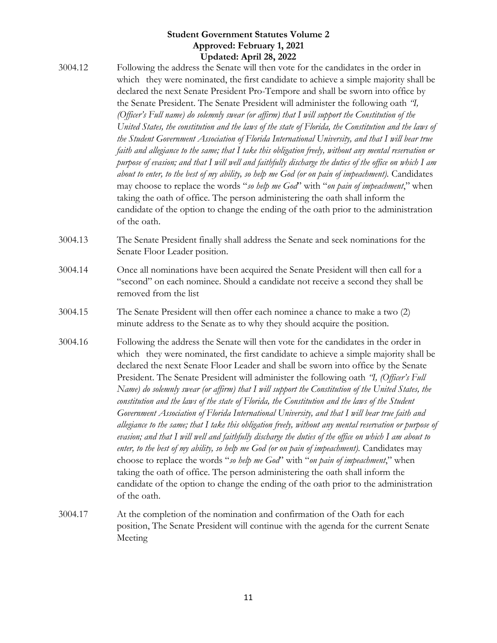- 3004.12 Following the address the Senate will then vote for the candidates in the order in which they were nominated, the first candidate to achieve a simple majority shall be declared the next Senate President Pro-Tempore and shall be sworn into office by the Senate President. The Senate President will administer the following oath *"I, (Officer's Full name) do solemnly swear (or affirm) that I will support the Constitution of the United States, the constitution and the laws of the state of Florida, the Constitution and the laws of the Student Government Association of Florida International University, and that I will bear true faith and allegiance to the same; that I take this obligation freely, without any mental reservation or purpose of evasion; and that I will well and faithfully discharge the duties of the office on which I am about to enter, to the best of my ability, so help me God (or on pain of impeachment).* Candidates may choose to replace the words "*so help me God*" with "*on pain of impeachment*," when taking the oath of office. The person administering the oath shall inform the candidate of the option to change the ending of the oath prior to the administration of the oath.
- 3004.13 The Senate President finally shall address the Senate and seek nominations for the Senate Floor Leader position.
- 3004.14 Once all nominations have been acquired the Senate President will then call for a "second" on each nominee. Should a candidate not receive a second they shall be removed from the list
- 3004.15 The Senate President will then offer each nominee a chance to make a two (2) minute address to the Senate as to why they should acquire the position.
- 3004.16 Following the address the Senate will then vote for the candidates in the order in which they were nominated, the first candidate to achieve a simple majority shall be declared the next Senate Floor Leader and shall be sworn into office by the Senate President. The Senate President will administer the following oath *"I, (Officer's Full Name) do solemnly swear (or affirm) that I will support the Constitution of the United States, the constitution and the laws of the state of Florida, the Constitution and the laws of the Student Government Association of Florida International University, and that I will bear true faith and allegiance to the same; that I take this obligation freely, without any mental reservation or purpose of evasion; and that I will well and faithfully discharge the duties of the office on which I am about to enter, to the best of my ability, so help me God (or on pain of impeachment).* Candidates may choose to replace the words "*so help me God*" with "*on pain of impeachment*," when taking the oath of office. The person administering the oath shall inform the candidate of the option to change the ending of the oath prior to the administration of the oath.
- 3004.17 At the completion of the nomination and confirmation of the Oath for each position, The Senate President will continue with the agenda for the current Senate Meeting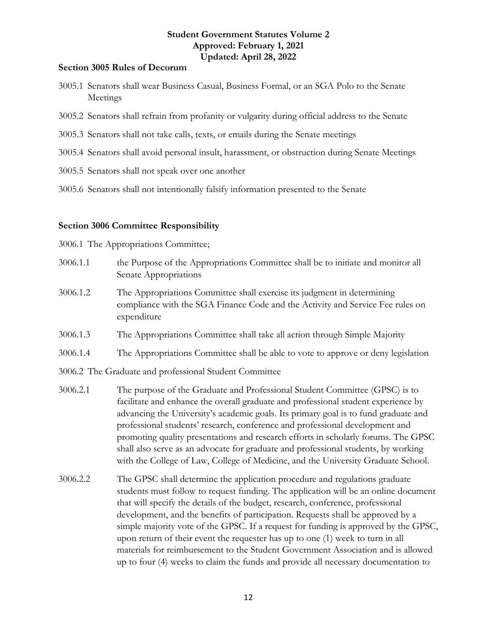#### <span id="page-11-0"></span>**Section 3005 Rules of Decorum**

- 3005.1 Senators shall wear Business Casual, Business Formal, or an SGA Polo to the Senate Meetings
- 3005.2 Senators shall refrain from profanity or vulgarity during official address to the Senate
- 3005.3 Senators shall not take calls, texts, or emails during the Senate meetings
- 3005.4 Senators shall avoid personal insult, harassment, or obstruction during Senate Meetings
- 3005.5 Senators shall not speak over one another
- 3005.6 Senators shall not intentionally falsify information presented to the Senate

#### <span id="page-11-1"></span>**Section 3006 Committee Responsibility**

3006.1 The Appropriations Committee;

- 3006.1.1 the Purpose of the Appropriations Committee shall be to initiate and monitor all Senate Appropriations
- 3006.1.2 The Appropriations Committee shall exercise its judgment in determining compliance with the SGA Finance Code and the Activity and Service Fee rules on expenditure
- 3006.1.3 The Appropriations Committee shall take all action through Simple Majority
- 3006.1.4 The Appropriations Committee shall be able to vote to approve or deny legislation
- 3006.2 The Graduate and professional Student Committee
- 3006.2.1 The purpose of the Graduate and Professional Student Committee (GPSC) is to facilitate and enhance the overall graduate and professional student experience by advancing the University's academic goals. Its primary goal is to fund graduate and professional students' research, conference and professional development and promoting quality presentations and research efforts in scholarly forums. The GPSC shall also serve as an advocate for graduate and professional students, by working with the College of Law, College of Medicine, and the University Graduate School.
- 3006.2.2 The GPSC shall determine the application procedure and regulations graduate students must follow to request funding. The application will be an online document that will specify the details of the budget, research, conference, professional development, and the benefits of participation. Requests shall be approved by a simple majority vote of the GPSC. If a request for funding is approved by the GPSC, upon return of their event the requester has up to one (1) week to turn in all materials for reimbursement to the Student Government Association and is allowed up to four (4) weeks to claim the funds and provide all necessary documentation to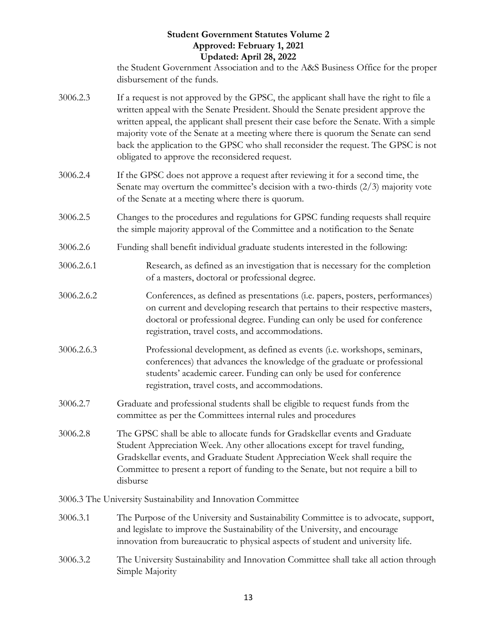the Student Government Association and to the A&S Business Office for the proper disbursement of the funds.

- 3006.2.3 If a request is not approved by the GPSC, the applicant shall have the right to file a written appeal with the Senate President. Should the Senate president approve the written appeal, the applicant shall present their case before the Senate. With a simple majority vote of the Senate at a meeting where there is quorum the Senate can send back the application to the GPSC who shall reconsider the request. The GPSC is not obligated to approve the reconsidered request.
- 3006.2.4 If the GPSC does not approve a request after reviewing it for a second time, the Senate may overturn the committee's decision with a two-thirds (2/3) majority vote of the Senate at a meeting where there is quorum.
- 3006.2.5 Changes to the procedures and regulations for GPSC funding requests shall require the simple majority approval of the Committee and a notification to the Senate
- 3006.2.6 Funding shall benefit individual graduate students interested in the following:
- 3006.2.6.1 Research, as defined as an investigation that is necessary for the completion of a masters, doctoral or professional degree.
- 3006.2.6.2 Conferences, as defined as presentations (i.e. papers, posters, performances) on current and developing research that pertains to their respective masters, doctoral or professional degree. Funding can only be used for conference registration, travel costs, and accommodations.
- 3006.2.6.3 Professional development, as defined as events (i.e. workshops, seminars, conferences) that advances the knowledge of the graduate or professional students' academic career. Funding can only be used for conference registration, travel costs, and accommodations.
- 3006.2.7 Graduate and professional students shall be eligible to request funds from the committee as per the Committees internal rules and procedures
- 3006.2.8 The GPSC shall be able to allocate funds for Gradskellar events and Graduate Student Appreciation Week. Any other allocations except for travel funding, Gradskellar events, and Graduate Student Appreciation Week shall require the Committee to present a report of funding to the Senate, but not require a bill to disburse

3006.3 The University Sustainability and Innovation Committee

- 3006.3.1 The Purpose of the University and Sustainability Committee is to advocate, support, and legislate to improve the Sustainability of the University, and encourage innovation from bureaucratic to physical aspects of student and university life.
- 3006.3.2 The University Sustainability and Innovation Committee shall take all action through Simple Majority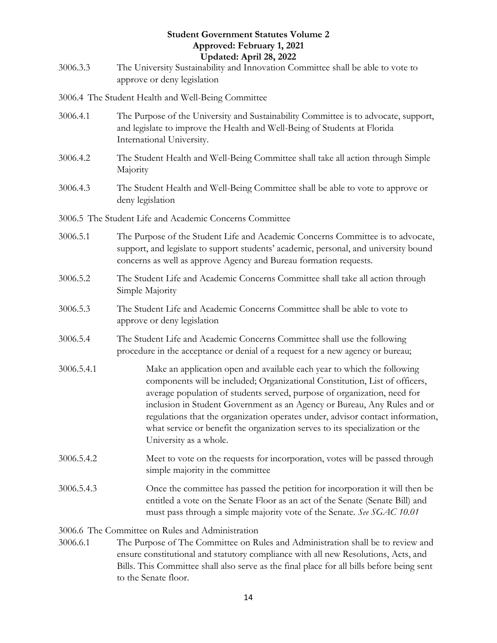3006.3.3 The University Sustainability and Innovation Committee shall be able to vote to approve or deny legislation

3006.4 The Student Health and Well-Being Committee

- 3006.4.1 The Purpose of the University and Sustainability Committee is to advocate, support, and legislate to improve the Health and Well-Being of Students at Florida International University.
- 3006.4.2 The Student Health and Well-Being Committee shall take all action through Simple Majority
- 3006.4.3 The Student Health and Well-Being Committee shall be able to vote to approve or deny legislation
- 3006.5 The Student Life and Academic Concerns Committee
- 3006.5.1 The Purpose of the Student Life and Academic Concerns Committee is to advocate, support, and legislate to support students' academic, personal, and university bound concerns as well as approve Agency and Bureau formation requests.
- 3006.5.2 The Student Life and Academic Concerns Committee shall take all action through Simple Majority
- 3006.5.3 The Student Life and Academic Concerns Committee shall be able to vote to approve or deny legislation
- 3006.5.4 The Student Life and Academic Concerns Committee shall use the following procedure in the acceptance or denial of a request for a new agency or bureau;
- 3006.5.4.1 Make an application open and available each year to which the following components will be included; Organizational Constitution, List of officers, average population of students served, purpose of organization, need for inclusion in Student Government as an Agency or Bureau, Any Rules and or regulations that the organization operates under, advisor contact information, what service or benefit the organization serves to its specialization or the University as a whole.
- 3006.5.4.2 Meet to vote on the requests for incorporation, votes will be passed through simple majority in the committee
- 3006.5.4.3 Once the committee has passed the petition for incorporation it will then be entitled a vote on the Senate Floor as an act of the Senate (Senate Bill) and must pass through a simple majority vote of the Senate. *See SGAC 10.01*

3006.6 The Committee on Rules and Administration

3006.6.1 The Purpose of The Committee on Rules and Administration shall be to review and ensure constitutional and statutory compliance with all new Resolutions, Acts, and Bills. This Committee shall also serve as the final place for all bills before being sent to the Senate floor.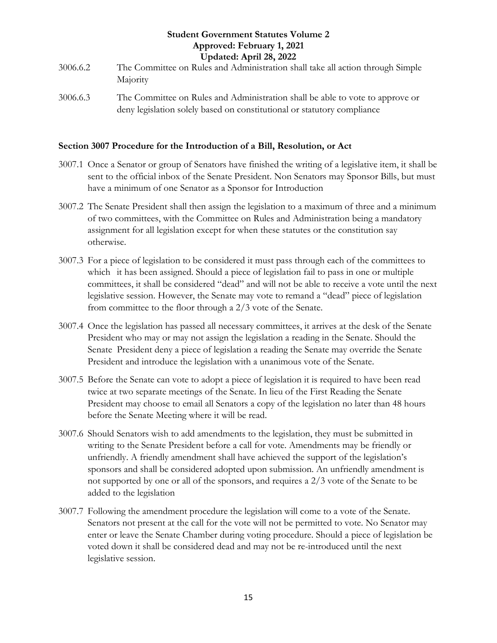- 3006.6.2 The Committee on Rules and Administration shall take all action through Simple Majority
- 3006.6.3 The Committee on Rules and Administration shall be able to vote to approve or deny legislation solely based on constitutional or statutory compliance

#### <span id="page-14-0"></span>**Section 3007 Procedure for the Introduction of a Bill, Resolution, or Act**

- 3007.1 Once a Senator or group of Senators have finished the writing of a legislative item, it shall be sent to the official inbox of the Senate President. Non Senators may Sponsor Bills, but must have a minimum of one Senator as a Sponsor for Introduction
- 3007.2 The Senate President shall then assign the legislation to a maximum of three and a minimum of two committees, with the Committee on Rules and Administration being a mandatory assignment for all legislation except for when these statutes or the constitution say otherwise.
- 3007.3 For a piece of legislation to be considered it must pass through each of the committees to which it has been assigned. Should a piece of legislation fail to pass in one or multiple committees, it shall be considered "dead" and will not be able to receive a vote until the next legislative session. However, the Senate may vote to remand a "dead" piece of legislation from committee to the floor through a 2/3 vote of the Senate.
- 3007.4 Once the legislation has passed all necessary committees, it arrives at the desk of the Senate President who may or may not assign the legislation a reading in the Senate. Should the Senate President deny a piece of legislation a reading the Senate may override the Senate President and introduce the legislation with a unanimous vote of the Senate.
- 3007.5 Before the Senate can vote to adopt a piece of legislation it is required to have been read twice at two separate meetings of the Senate. In lieu of the First Reading the Senate President may choose to email all Senators a copy of the legislation no later than 48 hours before the Senate Meeting where it will be read.
- 3007.6 Should Senators wish to add amendments to the legislation, they must be submitted in writing to the Senate President before a call for vote. Amendments may be friendly or unfriendly. A friendly amendment shall have achieved the support of the legislation's sponsors and shall be considered adopted upon submission. An unfriendly amendment is not supported by one or all of the sponsors, and requires a 2/3 vote of the Senate to be added to the legislation
- 3007.7 Following the amendment procedure the legislation will come to a vote of the Senate. Senators not present at the call for the vote will not be permitted to vote. No Senator may enter or leave the Senate Chamber during voting procedure. Should a piece of legislation be voted down it shall be considered dead and may not be re-introduced until the next legislative session.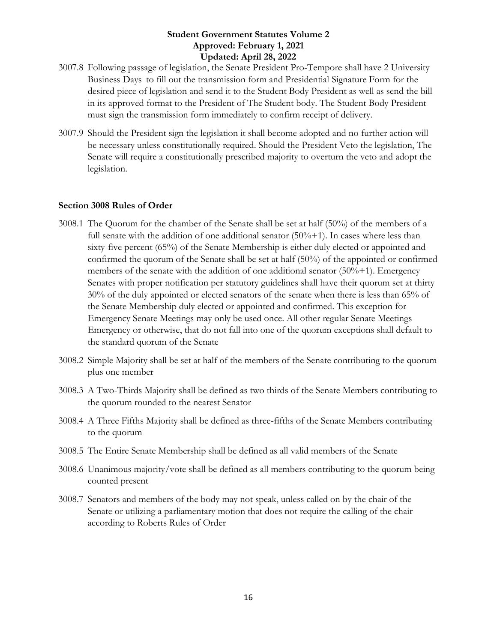- 3007.8 Following passage of legislation, the Senate President Pro-Tempore shall have 2 University Business Days to fill out the transmission form and Presidential Signature Form for the desired piece of legislation and send it to the Student Body President as well as send the bill in its approved format to the President of The Student body. The Student Body President must sign the transmission form immediately to confirm receipt of delivery.
- 3007.9 Should the President sign the legislation it shall become adopted and no further action will be necessary unless constitutionally required. Should the President Veto the legislation, The Senate will require a constitutionally prescribed majority to overturn the veto and adopt the legislation.

#### <span id="page-15-0"></span>**Section 3008 Rules of Order**

- 3008.1 The Quorum for the chamber of the Senate shall be set at half (50%) of the members of a full senate with the addition of one additional senator  $(50\% + 1)$ . In cases where less than sixty-five percent (65%) of the Senate Membership is either duly elected or appointed and confirmed the quorum of the Senate shall be set at half (50%) of the appointed or confirmed members of the senate with the addition of one additional senator (50%+1). Emergency Senates with proper notification per statutory guidelines shall have their quorum set at thirty 30% of the duly appointed or elected senators of the senate when there is less than 65% of the Senate Membership duly elected or appointed and confirmed. This exception for Emergency Senate Meetings may only be used once. All other regular Senate Meetings Emergency or otherwise, that do not fall into one of the quorum exceptions shall default to the standard quorum of the Senate
- 3008.2 Simple Majority shall be set at half of the members of the Senate contributing to the quorum plus one member
- 3008.3 A Two-Thirds Majority shall be defined as two thirds of the Senate Members contributing to the quorum rounded to the nearest Senator
- 3008.4 A Three Fifths Majority shall be defined as three-fifths of the Senate Members contributing to the quorum
- 3008.5 The Entire Senate Membership shall be defined as all valid members of the Senate
- 3008.6 Unanimous majority/vote shall be defined as all members contributing to the quorum being counted present
- 3008.7 Senators and members of the body may not speak, unless called on by the chair of the Senate or utilizing a parliamentary motion that does not require the calling of the chair according to Roberts Rules of Order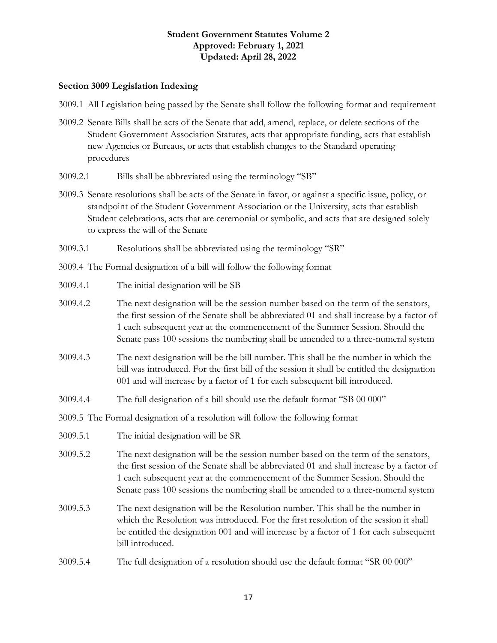#### <span id="page-16-0"></span>**Section 3009 Legislation Indexing**

- 3009.1 All Legislation being passed by the Senate shall follow the following format and requirement
- 3009.2 Senate Bills shall be acts of the Senate that add, amend, replace, or delete sections of the Student Government Association Statutes, acts that appropriate funding, acts that establish new Agencies or Bureaus, or acts that establish changes to the Standard operating procedures
- 3009.2.1 Bills shall be abbreviated using the terminology "SB"
- 3009.3 Senate resolutions shall be acts of the Senate in favor, or against a specific issue, policy, or standpoint of the Student Government Association or the University, acts that establish Student celebrations, acts that are ceremonial or symbolic, and acts that are designed solely to express the will of the Senate
- 3009.3.1 Resolutions shall be abbreviated using the terminology "SR"

3009.4 The Formal designation of a bill will follow the following format

- 3009.4.1 The initial designation will be SB
- 3009.4.2 The next designation will be the session number based on the term of the senators, the first session of the Senate shall be abbreviated 01 and shall increase by a factor of 1 each subsequent year at the commencement of the Summer Session. Should the Senate pass 100 sessions the numbering shall be amended to a three-numeral system
- 3009.4.3 The next designation will be the bill number. This shall be the number in which the bill was introduced. For the first bill of the session it shall be entitled the designation 001 and will increase by a factor of 1 for each subsequent bill introduced.
- 3009.4.4 The full designation of a bill should use the default format "SB 00 000"

3009.5 The Formal designation of a resolution will follow the following format

- 3009.5.1 The initial designation will be SR
- 3009.5.2 The next designation will be the session number based on the term of the senators, the first session of the Senate shall be abbreviated 01 and shall increase by a factor of 1 each subsequent year at the commencement of the Summer Session. Should the Senate pass 100 sessions the numbering shall be amended to a three-numeral system
- 3009.5.3 The next designation will be the Resolution number. This shall be the number in which the Resolution was introduced. For the first resolution of the session it shall be entitled the designation 001 and will increase by a factor of 1 for each subsequent bill introduced.
- 3009.5.4 The full designation of a resolution should use the default format "SR 00 000"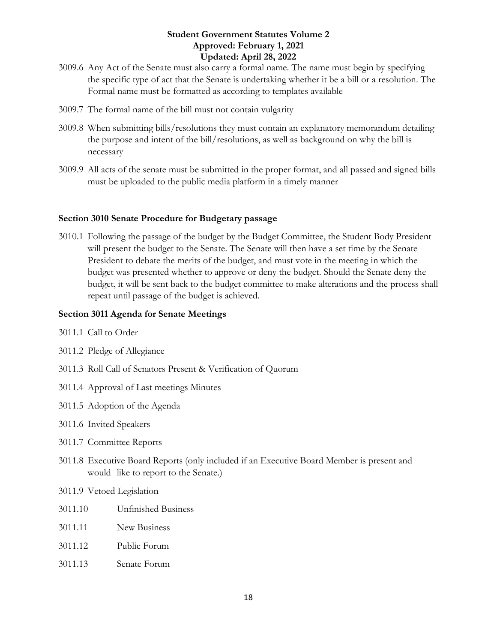- 3009.6 Any Act of the Senate must also carry a formal name. The name must begin by specifying the specific type of act that the Senate is undertaking whether it be a bill or a resolution. The Formal name must be formatted as according to templates available
- 3009.7 The formal name of the bill must not contain vulgarity
- 3009.8 When submitting bills/resolutions they must contain an explanatory memorandum detailing the purpose and intent of the bill/resolutions, as well as background on why the bill is necessary
- 3009.9 All acts of the senate must be submitted in the proper format, and all passed and signed bills must be uploaded to the public media platform in a timely manner

#### <span id="page-17-0"></span>**Section 3010 Senate Procedure for Budgetary passage**

3010.1 Following the passage of the budget by the Budget Committee, the Student Body President will present the budget to the Senate. The Senate will then have a set time by the Senate President to debate the merits of the budget, and must vote in the meeting in which the budget was presented whether to approve or deny the budget. Should the Senate deny the budget, it will be sent back to the budget committee to make alterations and the process shall repeat until passage of the budget is achieved.

#### <span id="page-17-1"></span>**Section 3011 Agenda for Senate Meetings**

- 3011.1 Call to Order
- 3011.2 Pledge of Allegiance
- 3011.3 Roll Call of Senators Present & Verification of Quorum
- 3011.4 Approval of Last meetings Minutes
- 3011.5 Adoption of the Agenda
- 3011.6 Invited Speakers
- 3011.7 Committee Reports
- 3011.8 Executive Board Reports (only included if an Executive Board Member is present and would like to report to the Senate.)
- 3011.9 Vetoed Legislation
- 3011.10 Unfinished Business
- 3011.11 New Business
- 3011.12 Public Forum
- 3011.13 Senate Forum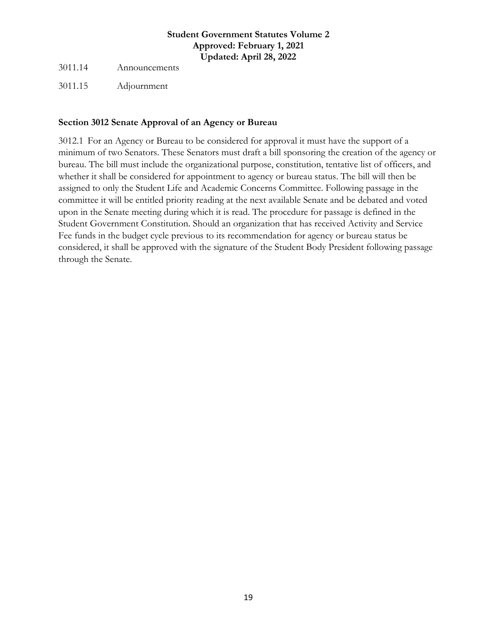3011.14 Announcements

3011.15 Adjournment

#### <span id="page-18-0"></span>**Section 3012 Senate Approval of an Agency or Bureau**

3012.1 For an Agency or Bureau to be considered for approval it must have the support of a minimum of two Senators. These Senators must draft a bill sponsoring the creation of the agency or bureau. The bill must include the organizational purpose, constitution, tentative list of officers, and whether it shall be considered for appointment to agency or bureau status. The bill will then be assigned to only the Student Life and Academic Concerns Committee. Following passage in the committee it will be entitled priority reading at the next available Senate and be debated and voted upon in the Senate meeting during which it is read. The procedure for passage is defined in the Student Government Constitution. Should an organization that has received Activity and Service Fee funds in the budget cycle previous to its recommendation for agency or bureau status be considered, it shall be approved with the signature of the Student Body President following passage through the Senate.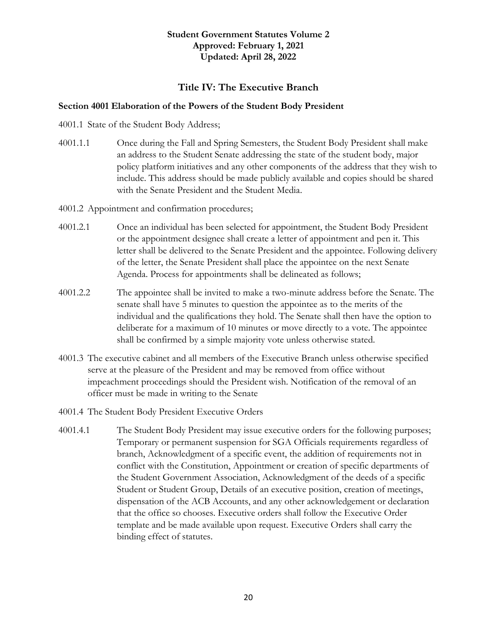#### **Title IV: The Executive Branch**

#### <span id="page-19-1"></span><span id="page-19-0"></span>**Section 4001 Elaboration of the Powers of the Student Body President**

4001.1 State of the Student Body Address;

- 4001.1.1 Once during the Fall and Spring Semesters, the Student Body President shall make an address to the Student Senate addressing the state of the student body, major policy platform initiatives and any other components of the address that they wish to include. This address should be made publicly available and copies should be shared with the Senate President and the Student Media.
- 4001.2 Appointment and confirmation procedures;
- 4001.2.1 Once an individual has been selected for appointment, the Student Body President or the appointment designee shall create a letter of appointment and pen it. This letter shall be delivered to the Senate President and the appointee. Following delivery of the letter, the Senate President shall place the appointee on the next Senate Agenda. Process for appointments shall be delineated as follows;
- 4001.2.2 The appointee shall be invited to make a two-minute address before the Senate. The senate shall have 5 minutes to question the appointee as to the merits of the individual and the qualifications they hold. The Senate shall then have the option to deliberate for a maximum of 10 minutes or move directly to a vote. The appointee shall be confirmed by a simple majority vote unless otherwise stated.
- 4001.3 The executive cabinet and all members of the Executive Branch unless otherwise specified serve at the pleasure of the President and may be removed from office without impeachment proceedings should the President wish. Notification of the removal of an officer must be made in writing to the Senate
- 4001.4 The Student Body President Executive Orders
- 4001.4.1 The Student Body President may issue executive orders for the following purposes; Temporary or permanent suspension for SGA Officials requirements regardless of branch, Acknowledgment of a specific event, the addition of requirements not in conflict with the Constitution, Appointment or creation of specific departments of the Student Government Association, Acknowledgment of the deeds of a specific Student or Student Group, Details of an executive position, creation of meetings, dispensation of the ACB Accounts, and any other acknowledgement or declaration that the office so chooses. Executive orders shall follow the Executive Order template and be made available upon request. Executive Orders shall carry the binding effect of statutes.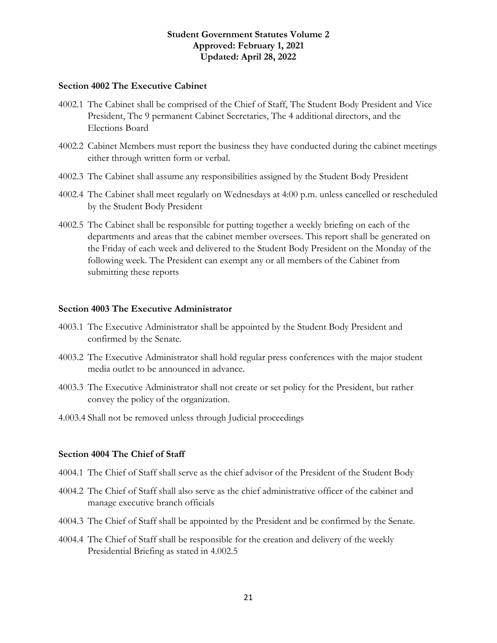#### <span id="page-20-0"></span>**Section 4002 The Executive Cabinet**

- 4002.1 The Cabinet shall be comprised of the Chief of Staff, The Student Body President and Vice President, The 9 permanent Cabinet Secretaries, The 4 additional directors, and the Elections Board
- 4002.2 Cabinet Members must report the business they have conducted during the cabinet meetings either through written form or verbal.
- 4002.3 The Cabinet shall assume any responsibilities assigned by the Student Body President
- 4002.4 The Cabinet shall meet regularly on Wednesdays at 4:00 p.m. unless cancelled or rescheduled by the Student Body President
- 4002.5 The Cabinet shall be responsible for putting together a weekly briefing on each of the departments and areas that the cabinet member oversees. This report shall be generated on the Friday of each week and delivered to the Student Body President on the Monday of the following week. The President can exempt any or all members of the Cabinet from submitting these reports

#### <span id="page-20-1"></span>**Section 4003 The Executive Administrator**

- 4003.1 The Executive Administrator shall be appointed by the Student Body President and confirmed by the Senate.
- 4003.2 The Executive Administrator shall hold regular press conferences with the major student media outlet to be announced in advance.
- 4003.3 The Executive Administrator shall not create or set policy for the President, but rather convey the policy of the organization.
- 4.003.4 Shall not be removed unless through Judicial proceedings

#### <span id="page-20-2"></span>**Section 4004 The Chief of Staff**

- 4004.1 The Chief of Staff shall serve as the chief advisor of the President of the Student Body
- 4004.2 The Chief of Staff shall also serve as the chief administrative officer of the cabinet and manage executive branch officials
- 4004.3 The Chief of Staff shall be appointed by the President and be confirmed by the Senate.
- 4004.4 The Chief of Staff shall be responsible for the creation and delivery of the weekly Presidential Briefing as stated in 4.002.5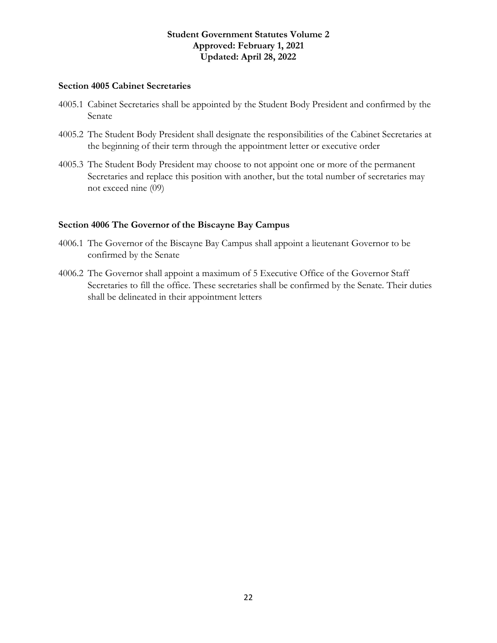#### <span id="page-21-0"></span>**Section 4005 Cabinet Secretaries**

- 4005.1 Cabinet Secretaries shall be appointed by the Student Body President and confirmed by the Senate
- 4005.2 The Student Body President shall designate the responsibilities of the Cabinet Secretaries at the beginning of their term through the appointment letter or executive order
- 4005.3 The Student Body President may choose to not appoint one or more of the permanent Secretaries and replace this position with another, but the total number of secretaries may not exceed nine (09)

#### <span id="page-21-1"></span>**Section 4006 The Governor of the Biscayne Bay Campus**

- 4006.1 The Governor of the Biscayne Bay Campus shall appoint a lieutenant Governor to be confirmed by the Senate
- 4006.2 The Governor shall appoint a maximum of 5 Executive Office of the Governor Staff Secretaries to fill the office. These secretaries shall be confirmed by the Senate. Their duties shall be delineated in their appointment letters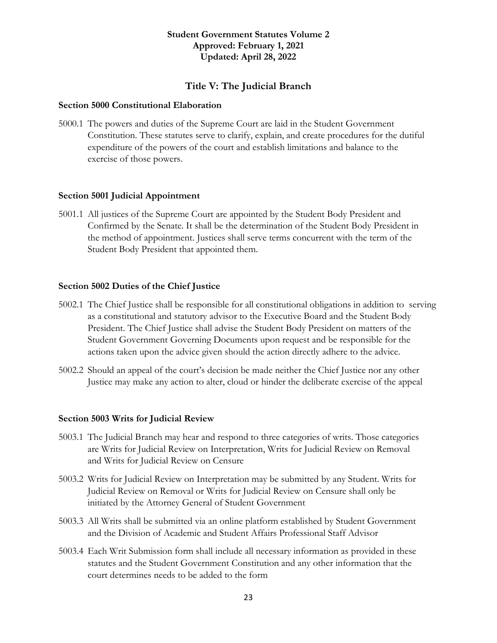#### **Title V: The Judicial Branch**

#### <span id="page-22-1"></span><span id="page-22-0"></span>**Section 5000 Constitutional Elaboration**

5000.1 The powers and duties of the Supreme Court are laid in the Student Government Constitution. These statutes serve to clarify, explain, and create procedures for the dutiful expenditure of the powers of the court and establish limitations and balance to the exercise of those powers.

#### <span id="page-22-2"></span>**Section 5001 Judicial Appointment**

5001.1 All justices of the Supreme Court are appointed by the Student Body President and Confirmed by the Senate. It shall be the determination of the Student Body President in the method of appointment. Justices shall serve terms concurrent with the term of the Student Body President that appointed them.

#### <span id="page-22-3"></span>**Section 5002 Duties of the Chief Justice**

- 5002.1 The Chief Justice shall be responsible for all constitutional obligations in addition to serving as a constitutional and statutory advisor to the Executive Board and the Student Body President. The Chief Justice shall advise the Student Body President on matters of the Student Government Governing Documents upon request and be responsible for the actions taken upon the advice given should the action directly adhere to the advice.
- 5002.2 Should an appeal of the court's decision be made neither the Chief Justice nor any other Justice may make any action to alter, cloud or hinder the deliberate exercise of the appeal

#### <span id="page-22-4"></span>**Section 5003 Writs for Judicial Review**

- 5003.1 The Judicial Branch may hear and respond to three categories of writs. Those categories are Writs for Judicial Review on Interpretation, Writs for Judicial Review on Removal and Writs for Judicial Review on Censure
- 5003.2 Writs for Judicial Review on Interpretation may be submitted by any Student. Writs for Judicial Review on Removal or Writs for Judicial Review on Censure shall only be initiated by the Attorney General of Student Government
- 5003.3 All Writs shall be submitted via an online platform established by Student Government and the Division of Academic and Student Affairs Professional Staff Advisor
- 5003.4 Each Writ Submission form shall include all necessary information as provided in these statutes and the Student Government Constitution and any other information that the court determines needs to be added to the form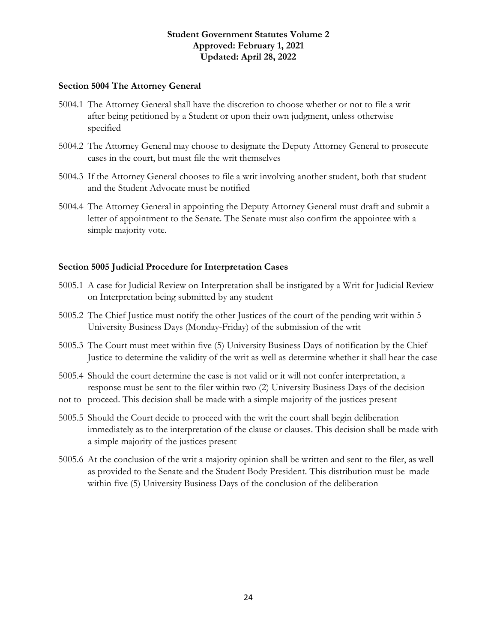#### <span id="page-23-0"></span>**Section 5004 The Attorney General**

- 5004.1 The Attorney General shall have the discretion to choose whether or not to file a writ after being petitioned by a Student or upon their own judgment, unless otherwise specified
- 5004.2 The Attorney General may choose to designate the Deputy Attorney General to prosecute cases in the court, but must file the writ themselves
- 5004.3 If the Attorney General chooses to file a writ involving another student, both that student and the Student Advocate must be notified
- 5004.4 The Attorney General in appointing the Deputy Attorney General must draft and submit a letter of appointment to the Senate. The Senate must also confirm the appointee with a simple majority vote.

#### <span id="page-23-1"></span>**Section 5005 Judicial Procedure for Interpretation Cases**

- 5005.1 A case for Judicial Review on Interpretation shall be instigated by a Writ for Judicial Review on Interpretation being submitted by any student
- 5005.2 The Chief Justice must notify the other Justices of the court of the pending writ within 5 University Business Days (Monday-Friday) of the submission of the writ
- 5005.3 The Court must meet within five (5) University Business Days of notification by the Chief Justice to determine the validity of the writ as well as determine whether it shall hear the case
- 5005.4 Should the court determine the case is not valid or it will not confer interpretation, a response must be sent to the filer within two (2) University Business Days of the decision
- not to proceed. This decision shall be made with a simple majority of the justices present
- 5005.5 Should the Court decide to proceed with the writ the court shall begin deliberation immediately as to the interpretation of the clause or clauses. This decision shall be made with a simple majority of the justices present
- 5005.6 At the conclusion of the writ a majority opinion shall be written and sent to the filer, as well as provided to the Senate and the Student Body President. This distribution must be made within five (5) University Business Days of the conclusion of the deliberation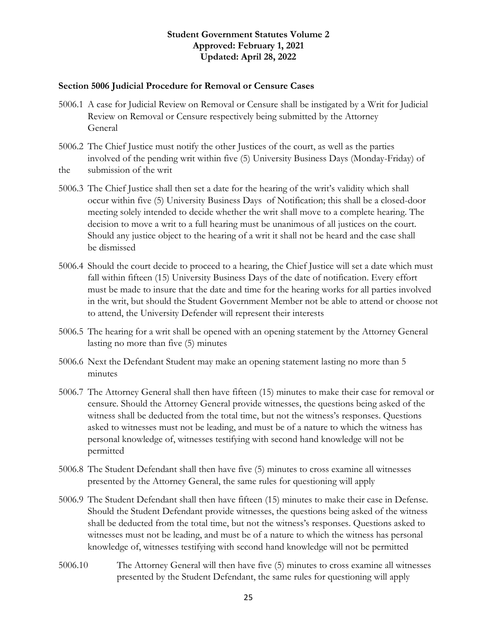#### <span id="page-24-0"></span>**Section 5006 Judicial Procedure for Removal or Censure Cases**

- 5006.1 A case for Judicial Review on Removal or Censure shall be instigated by a Writ for Judicial Review on Removal or Censure respectively being submitted by the Attorney General
- 5006.2 The Chief Justice must notify the other Justices of the court, as well as the parties involved of the pending writ within five (5) University Business Days (Monday-Friday) of the submission of the writ
- 5006.3 The Chief Justice shall then set a date for the hearing of the writ's validity which shall occur within five (5) University Business Days of Notification; this shall be a closed-door meeting solely intended to decide whether the writ shall move to a complete hearing. The decision to move a writ to a full hearing must be unanimous of all justices on the court. Should any justice object to the hearing of a writ it shall not be heard and the case shall be dismissed
- 5006.4 Should the court decide to proceed to a hearing, the Chief Justice will set a date which must fall within fifteen (15) University Business Days of the date of notification. Every effort must be made to insure that the date and time for the hearing works for all parties involved in the writ, but should the Student Government Member not be able to attend or choose not to attend, the University Defender will represent their interests
- 5006.5 The hearing for a writ shall be opened with an opening statement by the Attorney General lasting no more than five (5) minutes
- 5006.6 Next the Defendant Student may make an opening statement lasting no more than 5 minutes
- 5006.7 The Attorney General shall then have fifteen (15) minutes to make their case for removal or censure. Should the Attorney General provide witnesses, the questions being asked of the witness shall be deducted from the total time, but not the witness's responses. Questions asked to witnesses must not be leading, and must be of a nature to which the witness has personal knowledge of, witnesses testifying with second hand knowledge will not be permitted
- 5006.8 The Student Defendant shall then have five (5) minutes to cross examine all witnesses presented by the Attorney General, the same rules for questioning will apply
- 5006.9 The Student Defendant shall then have fifteen (15) minutes to make their case in Defense. Should the Student Defendant provide witnesses, the questions being asked of the witness shall be deducted from the total time, but not the witness's responses. Questions asked to witnesses must not be leading, and must be of a nature to which the witness has personal knowledge of, witnesses testifying with second hand knowledge will not be permitted
- 5006.10 The Attorney General will then have five (5) minutes to cross examine all witnesses presented by the Student Defendant, the same rules for questioning will apply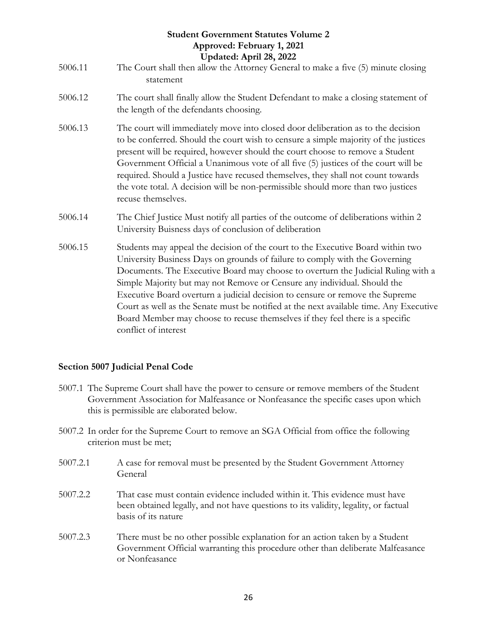| <b>Student Government Statutes Volume 2</b><br>Approved: February 1, 2021<br>Updated: April 28, 2022 |                                                                                                                                                                                                                                                                                                                                                                                                                                                                                                                                                                                                                    |  |
|------------------------------------------------------------------------------------------------------|--------------------------------------------------------------------------------------------------------------------------------------------------------------------------------------------------------------------------------------------------------------------------------------------------------------------------------------------------------------------------------------------------------------------------------------------------------------------------------------------------------------------------------------------------------------------------------------------------------------------|--|
| 5006.11                                                                                              | The Court shall then allow the Attorney General to make a five (5) minute closing<br>statement                                                                                                                                                                                                                                                                                                                                                                                                                                                                                                                     |  |
| 5006.12                                                                                              | The court shall finally allow the Student Defendant to make a closing statement of<br>the length of the defendants choosing.                                                                                                                                                                                                                                                                                                                                                                                                                                                                                       |  |
| 5006.13                                                                                              | The court will immediately move into closed door deliberation as to the decision<br>to be conferred. Should the court wish to censure a simple majority of the justices<br>present will be required, however should the court choose to remove a Student<br>Government Official a Unanimous vote of all five (5) justices of the court will be<br>required. Should a Justice have recused themselves, they shall not count towards<br>the vote total. A decision will be non-permissible should more than two justices<br>recuse themselves.                                                                       |  |
| 5006.14                                                                                              | The Chief Justice Must notify all parties of the outcome of deliberations within 2<br>University Buisness days of conclusion of deliberation                                                                                                                                                                                                                                                                                                                                                                                                                                                                       |  |
| 5006.15                                                                                              | Students may appeal the decision of the court to the Executive Board within two<br>University Business Days on grounds of failure to comply with the Governing<br>Documents. The Executive Board may choose to overturn the Judicial Ruling with a<br>Simple Majority but may not Remove or Censure any individual. Should the<br>Executive Board overturn a judicial decision to censure or remove the Supreme<br>Court as well as the Senate must be notified at the next available time. Any Executive<br>Board Member may choose to recuse themselves if they feel there is a specific<br>conflict of interest |  |

#### <span id="page-25-0"></span>**Section 5007 Judicial Penal Code**

- 5007.1 The Supreme Court shall have the power to censure or remove members of the Student Government Association for Malfeasance or Nonfeasance the specific cases upon which this is permissible are elaborated below.
- 5007.2 In order for the Supreme Court to remove an SGA Official from office the following criterion must be met;
- 5007.2.1 A case for removal must be presented by the Student Government Attorney General
- 5007.2.2 That case must contain evidence included within it. This evidence must have been obtained legally, and not have questions to its validity, legality, or factual basis of its nature
- 5007.2.3 There must be no other possible explanation for an action taken by a Student Government Official warranting this procedure other than deliberate Malfeasance or Nonfeasance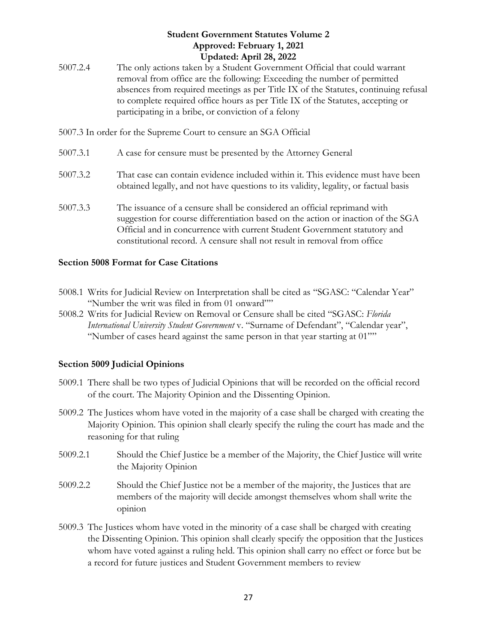- 5007.2.4 The only actions taken by a Student Government Official that could warrant removal from office are the following: Exceeding the number of permitted absences from required meetings as per Title IX of the Statutes, continuing refusal to complete required office hours as per Title IX of the Statutes, accepting or participating in a bribe, or conviction of a felony
- 5007.3 In order for the Supreme Court to censure an SGA Official
- 5007.3.1 A case for censure must be presented by the Attorney General
- 5007.3.2 That case can contain evidence included within it. This evidence must have been obtained legally, and not have questions to its validity, legality, or factual basis
- 5007.3.3 The issuance of a censure shall be considered an official reprimand with suggestion for course differentiation based on the action or inaction of the SGA Official and in concurrence with current Student Government statutory and constitutional record. A censure shall not result in removal from office

#### <span id="page-26-0"></span>**Section 5008 Format for Case Citations**

- 5008.1 Writs for Judicial Review on Interpretation shall be cited as "SGASC: "Calendar Year" "Number the writ was filed in from 01 onward""
- 5008.2 Writs for Judicial Review on Removal or Censure shall be cited "SGASC: *Florida International University Student Government* v. "Surname of Defendant", "Calendar year", "Number of cases heard against the same person in that year starting at 01""

#### <span id="page-26-1"></span>**Section 5009 Judicial Opinions**

- 5009.1 There shall be two types of Judicial Opinions that will be recorded on the official record of the court. The Majority Opinion and the Dissenting Opinion.
- 5009.2 The Justices whom have voted in the majority of a case shall be charged with creating the Majority Opinion. This opinion shall clearly specify the ruling the court has made and the reasoning for that ruling
- 5009.2.1 Should the Chief Justice be a member of the Majority, the Chief Justice will write the Majority Opinion
- 5009.2.2 Should the Chief Justice not be a member of the majority, the Justices that are members of the majority will decide amongst themselves whom shall write the opinion
- 5009.3 The Justices whom have voted in the minority of a case shall be charged with creating the Dissenting Opinion. This opinion shall clearly specify the opposition that the Justices whom have voted against a ruling held. This opinion shall carry no effect or force but be a record for future justices and Student Government members to review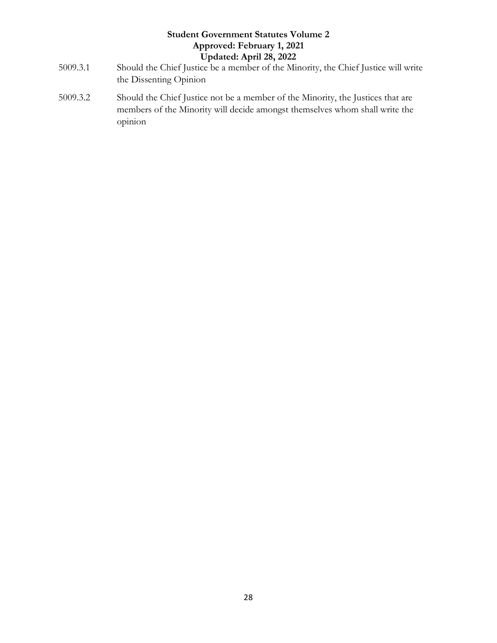- 5009.3.1 Should the Chief Justice be a member of the Minority, the Chief Justice will write the Dissenting Opinion
- 5009.3.2 Should the Chief Justice not be a member of the Minority, the Justices that are members of the Minority will decide amongst themselves whom shall write the opinion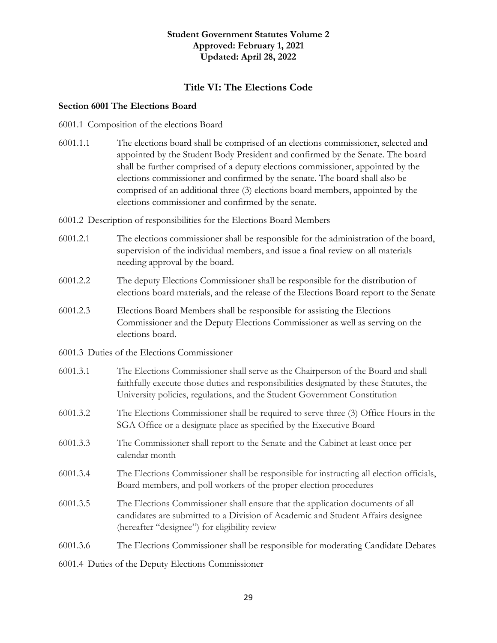#### **Title VI: The Elections Code**

#### <span id="page-28-1"></span><span id="page-28-0"></span>**Section 6001 The Elections Board**

6001.1 Composition of the elections Board

- 6001.1.1 The elections board shall be comprised of an elections commissioner, selected and appointed by the Student Body President and confirmed by the Senate. The board shall be further comprised of a deputy elections commissioner, appointed by the elections commissioner and confirmed by the senate. The board shall also be comprised of an additional three (3) elections board members, appointed by the elections commissioner and confirmed by the senate.
- 6001.2 Description of responsibilities for the Elections Board Members
- 6001.2.1 The elections commissioner shall be responsible for the administration of the board, supervision of the individual members, and issue a final review on all materials needing approval by the board.
- 6001.2.2 The deputy Elections Commissioner shall be responsible for the distribution of elections board materials, and the release of the Elections Board report to the Senate
- 6001.2.3 Elections Board Members shall be responsible for assisting the Elections Commissioner and the Deputy Elections Commissioner as well as serving on the elections board.
- 6001.3 Duties of the Elections Commissioner
- 6001.3.1 The Elections Commissioner shall serve as the Chairperson of the Board and shall faithfully execute those duties and responsibilities designated by these Statutes, the University policies, regulations, and the Student Government Constitution
- 6001.3.2 The Elections Commissioner shall be required to serve three (3) Office Hours in the SGA Office or a designate place as specified by the Executive Board
- 6001.3.3 The Commissioner shall report to the Senate and the Cabinet at least once per calendar month
- 6001.3.4 The Elections Commissioner shall be responsible for instructing all election officials, Board members, and poll workers of the proper election procedures
- 6001.3.5 The Elections Commissioner shall ensure that the application documents of all candidates are submitted to a Division of Academic and Student Affairs designee (hereafter "designee") for eligibility review

6001.3.6 The Elections Commissioner shall be responsible for moderating Candidate Debates

6001.4 Duties of the Deputy Elections Commissioner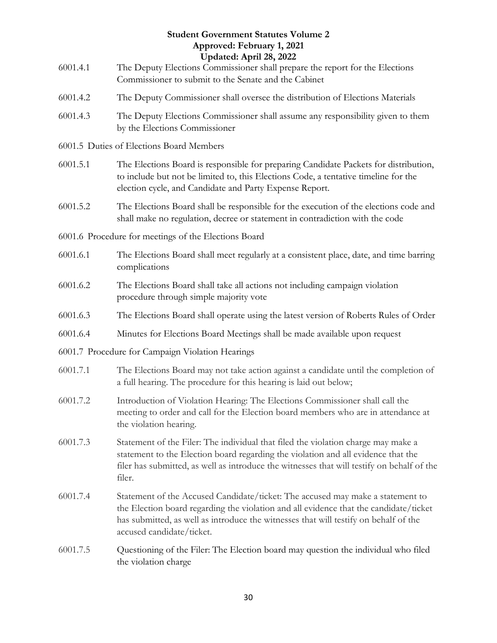|          | <b>Student Government Statutes Volume 2</b><br>Approved: February 1, 2021<br>Updated: April 28, 2022                                                                                                                                                                                         |
|----------|----------------------------------------------------------------------------------------------------------------------------------------------------------------------------------------------------------------------------------------------------------------------------------------------|
| 6001.4.1 | The Deputy Elections Commissioner shall prepare the report for the Elections<br>Commissioner to submit to the Senate and the Cabinet                                                                                                                                                         |
| 6001.4.2 | The Deputy Commissioner shall oversee the distribution of Elections Materials                                                                                                                                                                                                                |
| 6001.4.3 | The Deputy Elections Commissioner shall assume any responsibility given to them<br>by the Elections Commissioner                                                                                                                                                                             |
|          | 6001.5 Duties of Elections Board Members                                                                                                                                                                                                                                                     |
| 6001.5.1 | The Elections Board is responsible for preparing Candidate Packets for distribution,<br>to include but not be limited to, this Elections Code, a tentative timeline for the<br>election cycle, and Candidate and Party Expense Report.                                                       |
| 6001.5.2 | The Elections Board shall be responsible for the execution of the elections code and<br>shall make no regulation, decree or statement in contradiction with the code                                                                                                                         |
|          | 6001.6 Procedure for meetings of the Elections Board                                                                                                                                                                                                                                         |
| 6001.6.1 | The Elections Board shall meet regularly at a consistent place, date, and time barring<br>complications                                                                                                                                                                                      |
| 6001.6.2 | The Elections Board shall take all actions not including campaign violation<br>procedure through simple majority vote                                                                                                                                                                        |
| 6001.6.3 | The Elections Board shall operate using the latest version of Roberts Rules of Order                                                                                                                                                                                                         |
| 6001.6.4 | Minutes for Elections Board Meetings shall be made available upon request                                                                                                                                                                                                                    |
|          | 6001.7 Procedure for Campaign Violation Hearings                                                                                                                                                                                                                                             |
| 6001.7.1 | The Elections Board may not take action against a candidate until the completion of<br>a full hearing. The procedure for this hearing is laid out below;                                                                                                                                     |
| 6001.7.2 | Introduction of Violation Hearing: The Elections Commissioner shall call the<br>meeting to order and call for the Election board members who are in attendance at<br>the violation hearing.                                                                                                  |
| 6001.7.3 | Statement of the Filer: The individual that filed the violation charge may make a<br>statement to the Election board regarding the violation and all evidence that the<br>filer has submitted, as well as introduce the witnesses that will testify on behalf of the<br>filer.               |
| 6001.7.4 | Statement of the Accused Candidate/ticket: The accused may make a statement to<br>the Election board regarding the violation and all evidence that the candidate/ticket<br>has submitted, as well as introduce the witnesses that will testify on behalf of the<br>accused candidate/ticket. |
| 6001.7.5 | Questioning of the Filer: The Election board may question the individual who filed<br>the violation charge                                                                                                                                                                                   |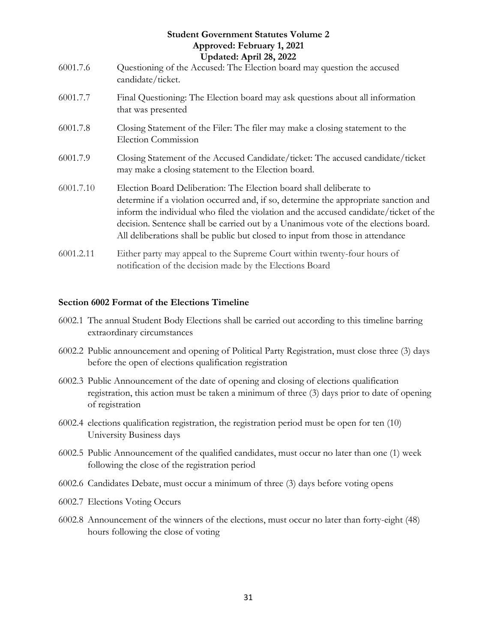### **Student Government Statutes Volume 2 Approved: February 1, 2021 Updated: April 28, 2022** 6001.7.6 Questioning of the Accused: The Election board may question the accused candidate/ticket. 6001.7.7 Final Questioning: The Election board may ask questions about all information that was presented

- 6001.7.8 Closing Statement of the Filer: The filer may make a closing statement to the Election Commission
- 6001.7.9 Closing Statement of the Accused Candidate/ticket: The accused candidate/ticket may make a closing statement to the Election board.
- 6001.7.10 Election Board Deliberation: The Election board shall deliberate to determine if a violation occurred and, if so, determine the appropriate sanction and inform the individual who filed the violation and the accused candidate/ticket of the decision. Sentence shall be carried out by a Unanimous vote of the elections board. All deliberations shall be public but closed to input from those in attendance
- 6001.2.11 Either party may appeal to the Supreme Court within twenty-four hours of notification of the decision made by the Elections Board

#### <span id="page-30-0"></span>**Section 6002 Format of the Elections Timeline**

- 6002.1 The annual Student Body Elections shall be carried out according to this timeline barring extraordinary circumstances
- 6002.2 Public announcement and opening of Political Party Registration, must close three (3) days before the open of elections qualification registration
- 6002.3 Public Announcement of the date of opening and closing of elections qualification registration, this action must be taken a minimum of three (3) days prior to date of opening of registration
- 6002.4 elections qualification registration, the registration period must be open for ten (10) University Business days
- 6002.5 Public Announcement of the qualified candidates, must occur no later than one (1) week following the close of the registration period
- 6002.6 Candidates Debate, must occur a minimum of three (3) days before voting opens
- 6002.7 Elections Voting Occurs
- <span id="page-30-1"></span>6002.8 Announcement of the winners of the elections, must occur no later than forty-eight (48) hours following the close of voting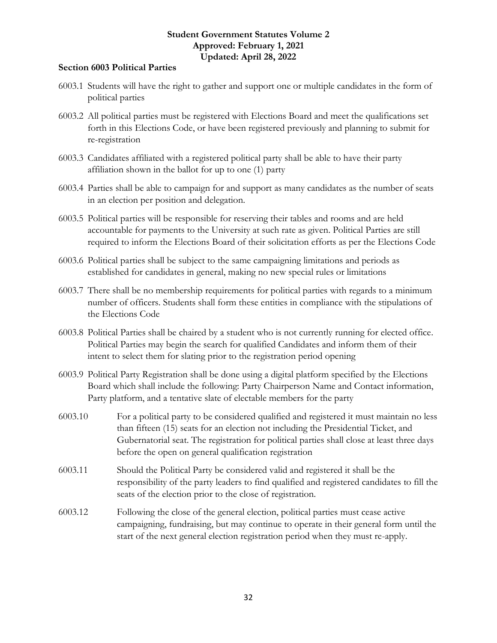#### **Section 6003 Political Parties**

- 6003.1 Students will have the right to gather and support one or multiple candidates in the form of political parties
- 6003.2 All political parties must be registered with Elections Board and meet the qualifications set forth in this Elections Code, or have been registered previously and planning to submit for re-registration
- 6003.3 Candidates affiliated with a registered political party shall be able to have their party affiliation shown in the ballot for up to one (1) party
- 6003.4 Parties shall be able to campaign for and support as many candidates as the number of seats in an election per position and delegation.
- 6003.5 Political parties will be responsible for reserving their tables and rooms and are held accountable for payments to the University at such rate as given. Political Parties are still required to inform the Elections Board of their solicitation efforts as per the Elections Code
- 6003.6 Political parties shall be subject to the same campaigning limitations and periods as established for candidates in general, making no new special rules or limitations
- 6003.7 There shall be no membership requirements for political parties with regards to a minimum number of officers. Students shall form these entities in compliance with the stipulations of the Elections Code
- 6003.8 Political Parties shall be chaired by a student who is not currently running for elected office. Political Parties may begin the search for qualified Candidates and inform them of their intent to select them for slating prior to the registration period opening
- 6003.9 Political Party Registration shall be done using a digital platform specified by the Elections Board which shall include the following: Party Chairperson Name and Contact information, Party platform, and a tentative slate of electable members for the party
- 6003.10 For a political party to be considered qualified and registered it must maintain no less than fifteen (15) seats for an election not including the Presidential Ticket, and Gubernatorial seat. The registration for political parties shall close at least three days before the open on general qualification registration
- 6003.11 Should the Political Party be considered valid and registered it shall be the responsibility of the party leaders to find qualified and registered candidates to fill the seats of the election prior to the close of registration.
- <span id="page-31-0"></span>6003.12 Following the close of the general election, political parties must cease active campaigning, fundraising, but may continue to operate in their general form until the start of the next general election registration period when they must re-apply.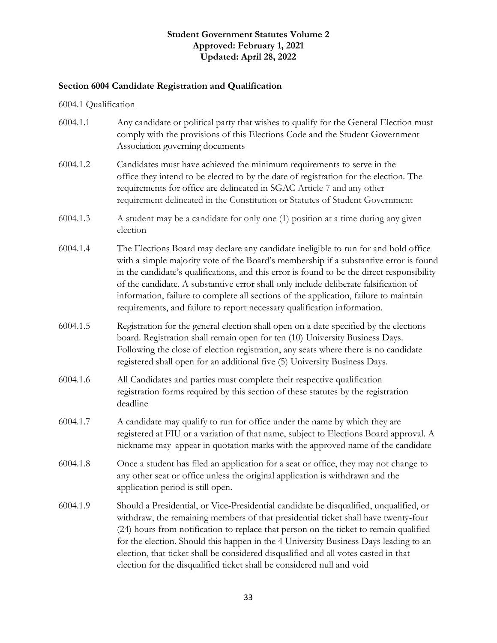#### **Section 6004 Candidate Registration and Qualification**

6004.1 Qualification

| 6004.1.1 | Any candidate or political party that wishes to qualify for the General Election must<br>comply with the provisions of this Elections Code and the Student Government<br>Association governing documents |
|----------|----------------------------------------------------------------------------------------------------------------------------------------------------------------------------------------------------------|
| 6004.1.2 | Candidates must have achieved the minimum requirements to serve in the<br>office they intend to be elected to by the date of registration for the election. The                                          |

- requirements for office are delineated in SGAC Article 7 and any other requirement delineated in the Constitution or Statutes of Student Government
- 6004.1.3 A student may be a candidate for only one (1) position at a time during any given election
- 6004.1.4 The Elections Board may declare any candidate ineligible to run for and hold office with a simple majority vote of the Board's membership if a substantive error is found in the candidate's qualifications, and this error is found to be the direct responsibility of the candidate. A substantive error shall only include deliberate falsification of information, failure to complete all sections of the application, failure to maintain requirements, and failure to report necessary qualification information.
- 6004.1.5 Registration for the general election shall open on a date specified by the elections board. Registration shall remain open for ten (10) University Business Days. Following the close of election registration, any seats where there is no candidate registered shall open for an additional five (5) University Business Days.
- 6004.1.6 All Candidates and parties must complete their respective qualification registration forms required by this section of these statutes by the registration deadline
- 6004.1.7 A candidate may qualify to run for office under the name by which they are registered at FIU or a variation of that name, subject to Elections Board approval. A nickname may appear in quotation marks with the approved name of the candidate
- 6004.1.8 Once a student has filed an application for a seat or office, they may not change to any other seat or office unless the original application is withdrawn and the application period is still open.
- 6004.1.9 Should a Presidential, or Vice-Presidential candidate be disqualified, unqualified, or withdraw, the remaining members of that presidential ticket shall have twenty-four (24) hours from notification to replace that person on the ticket to remain qualified for the election. Should this happen in the 4 University Business Days leading to an election, that ticket shall be considered disqualified and all votes casted in that election for the disqualified ticket shall be considered null and void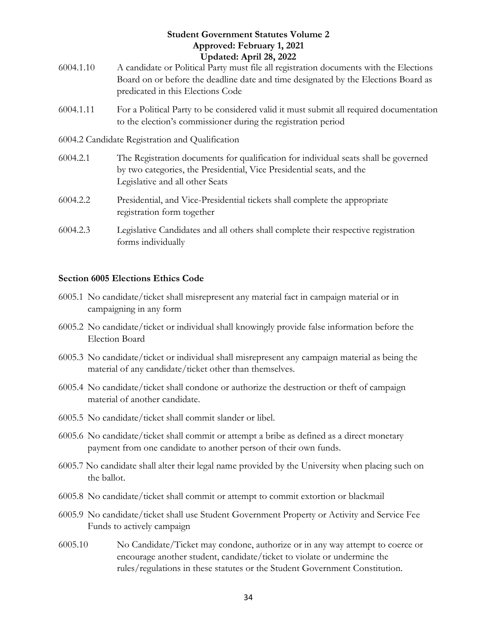- 6004.1.10 A candidate or Political Party must file all registration documents with the Elections Board on or before the deadline date and time designated by the Elections Board as predicated in this Elections Code
- 6004.1.11 For a Political Party to be considered valid it must submit all required documentation to the election's commissioner during the registration period
- 6004.2 Candidate Registration and Qualification
- 6004.2.1 The Registration documents for qualification for individual seats shall be governed by two categories, the Presidential, Vice Presidential seats, and the Legislative and all other Seats
- 6004.2.2 Presidential, and Vice-Presidential tickets shall complete the appropriate registration form together
- 6004.2.3 Legislative Candidates and all others shall complete their respective registration forms individually

#### <span id="page-33-0"></span>**Section 6005 Elections Ethics Code**

- 6005.1 No candidate/ticket shall misrepresent any material fact in campaign material or in campaigning in any form
- 6005.2 No candidate/ticket or individual shall knowingly provide false information before the Election Board
- 6005.3 No candidate/ticket or individual shall misrepresent any campaign material as being the material of any candidate/ticket other than themselves.
- 6005.4 No candidate/ticket shall condone or authorize the destruction or theft of campaign material of another candidate.
- 6005.5 No candidate/ticket shall commit slander or libel.
- 6005.6 No candidate/ticket shall commit or attempt a bribe as defined as a direct monetary payment from one candidate to another person of their own funds.
- 6005.7 No candidate shall alter their legal name provided by the University when placing such on the ballot.
- 6005.8 No candidate/ticket shall commit or attempt to commit extortion or blackmail
- 6005.9 No candidate/ticket shall use Student Government Property or Activity and Service Fee Funds to actively campaign
- 6005.10 No Candidate/Ticket may condone, authorize or in any way attempt to coerce or encourage another student, candidate/ticket to violate or undermine the rules/regulations in these statutes or the Student Government Constitution.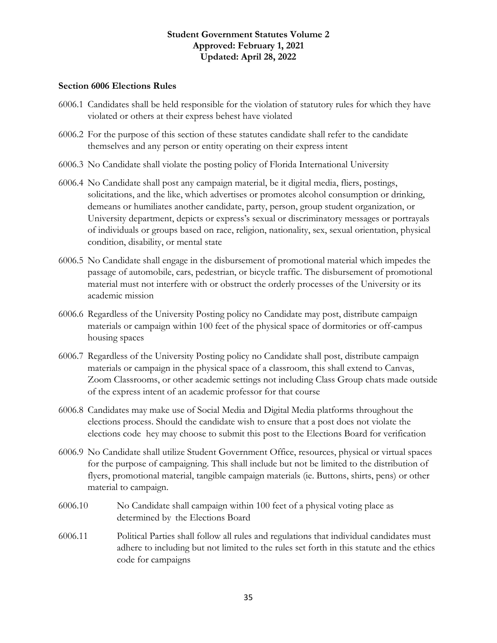#### <span id="page-34-0"></span>**Section 6006 Elections Rules**

- 6006.1 Candidates shall be held responsible for the violation of statutory rules for which they have violated or others at their express behest have violated
- 6006.2 For the purpose of this section of these statutes candidate shall refer to the candidate themselves and any person or entity operating on their express intent
- 6006.3 No Candidate shall violate the posting policy of Florida International University
- 6006.4 No Candidate shall post any campaign material, be it digital media, fliers, postings, solicitations, and the like, which advertises or promotes alcohol consumption or drinking, demeans or humiliates another candidate, party, person, group student organization, or University department, depicts or express's sexual or discriminatory messages or portrayals of individuals or groups based on race, religion, nationality, sex, sexual orientation, physical condition, disability, or mental state
- 6006.5 No Candidate shall engage in the disbursement of promotional material which impedes the passage of automobile, cars, pedestrian, or bicycle traffic. The disbursement of promotional material must not interfere with or obstruct the orderly processes of the University or its academic mission
- 6006.6 Regardless of the University Posting policy no Candidate may post, distribute campaign materials or campaign within 100 feet of the physical space of dormitories or off-campus housing spaces
- 6006.7 Regardless of the University Posting policy no Candidate shall post, distribute campaign materials or campaign in the physical space of a classroom, this shall extend to Canvas, Zoom Classrooms, or other academic settings not including Class Group chats made outside of the express intent of an academic professor for that course
- 6006.8 Candidates may make use of Social Media and Digital Media platforms throughout the elections process. Should the candidate wish to ensure that a post does not violate the elections code hey may choose to submit this post to the Elections Board for verification
- 6006.9 No Candidate shall utilize Student Government Office, resources, physical or virtual spaces for the purpose of campaigning. This shall include but not be limited to the distribution of flyers, promotional material, tangible campaign materials (ie. Buttons, shirts, pens) or other material to campaign.
- 6006.10 No Candidate shall campaign within 100 feet of a physical voting place as determined by the Elections Board
- 6006.11 Political Parties shall follow all rules and regulations that individual candidates must adhere to including but not limited to the rules set forth in this statute and the ethics code for campaigns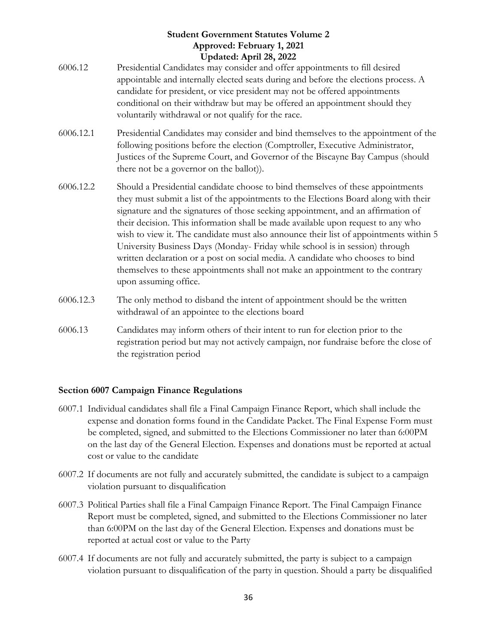- 6006.12 Presidential Candidates may consider and offer appointments to fill desired appointable and internally elected seats during and before the elections process. A candidate for president, or vice president may not be offered appointments conditional on their withdraw but may be offered an appointment should they voluntarily withdrawal or not qualify for the race.
- 6006.12.1 Presidential Candidates may consider and bind themselves to the appointment of the following positions before the election (Comptroller, Executive Administrator, Justices of the Supreme Court, and Governor of the Biscayne Bay Campus (should there not be a governor on the ballot)).
- 6006.12.2 Should a Presidential candidate choose to bind themselves of these appointments they must submit a list of the appointments to the Elections Board along with their signature and the signatures of those seeking appointment, and an affirmation of their decision. This information shall be made available upon request to any who wish to view it. The candidate must also announce their list of appointments within 5 University Business Days (Monday- Friday while school is in session) through written declaration or a post on social media. A candidate who chooses to bind themselves to these appointments shall not make an appointment to the contrary upon assuming office.
- 6006.12.3 The only method to disband the intent of appointment should be the written withdrawal of an appointee to the elections board
- 6006.13 Candidates may inform others of their intent to run for election prior to the registration period but may not actively campaign, nor fundraise before the close of the registration period

#### <span id="page-35-0"></span>**Section 6007 Campaign Finance Regulations**

- 6007.1 Individual candidates shall file a Final Campaign Finance Report, which shall include the expense and donation forms found in the Candidate Packet. The Final Expense Form must be completed, signed, and submitted to the Elections Commissioner no later than 6:00PM on the last day of the General Election. Expenses and donations must be reported at actual cost or value to the candidate
- 6007.2 If documents are not fully and accurately submitted, the candidate is subject to a campaign violation pursuant to disqualification
- 6007.3 Political Parties shall file a Final Campaign Finance Report. The Final Campaign Finance Report must be completed, signed, and submitted to the Elections Commissioner no later than 6:00PM on the last day of the General Election. Expenses and donations must be reported at actual cost or value to the Party
- 6007.4 If documents are not fully and accurately submitted, the party is subject to a campaign violation pursuant to disqualification of the party in question. Should a party be disqualified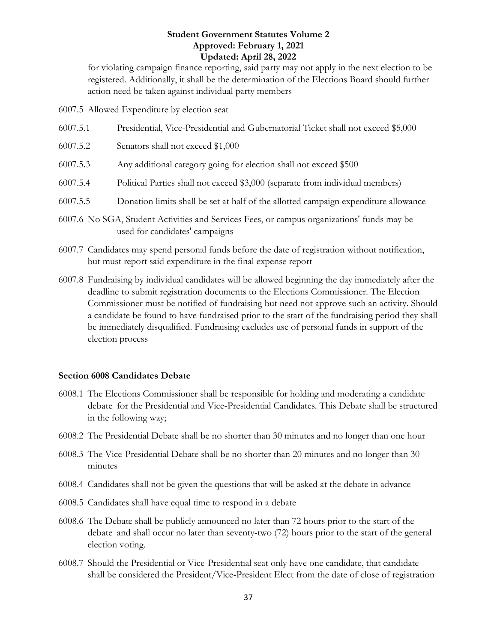for violating campaign finance reporting, said party may not apply in the next election to be registered. Additionally, it shall be the determination of the Elections Board should further action need be taken against individual party members

6007.5 Allowed Expenditure by election seat

- 6007.5.1 Presidential, Vice-Presidential and Gubernatorial Ticket shall not exceed \$5,000
- 6007.5.2 Senators shall not exceed \$1,000
- 6007.5.3 Any additional category going for election shall not exceed \$500
- 6007.5.4 Political Parties shall not exceed \$3,000 (separate from individual members)
- 6007.5.5 Donation limits shall be set at half of the allotted campaign expenditure allowance
- 6007.6 No SGA, Student Activities and Services Fees, or campus organizations' funds may be used for candidates' campaigns
- 6007.7 Candidates may spend personal funds before the date of registration without notification, but must report said expenditure in the final expense report
- 6007.8 Fundraising by individual candidates will be allowed beginning the day immediately after the deadline to submit registration documents to the Elections Commissioner. The Election Commissioner must be notified of fundraising but need not approve such an activity. Should a candidate be found to have fundraised prior to the start of the fundraising period they shall be immediately disqualified. Fundraising excludes use of personal funds in support of the election process

#### <span id="page-36-0"></span>**Section 6008 Candidates Debate**

- 6008.1 The Elections Commissioner shall be responsible for holding and moderating a candidate debate for the Presidential and Vice-Presidential Candidates. This Debate shall be structured in the following way;
- 6008.2 The Presidential Debate shall be no shorter than 30 minutes and no longer than one hour
- 6008.3 The Vice-Presidential Debate shall be no shorter than 20 minutes and no longer than 30 minutes
- 6008.4 Candidates shall not be given the questions that will be asked at the debate in advance
- 6008.5 Candidates shall have equal time to respond in a debate
- 6008.6 The Debate shall be publicly announced no later than 72 hours prior to the start of the debate and shall occur no later than seventy-two (72) hours prior to the start of the general election voting.
- 6008.7 Should the Presidential or Vice-Presidential seat only have one candidate, that candidate shall be considered the President/Vice-President Elect from the date of close of registration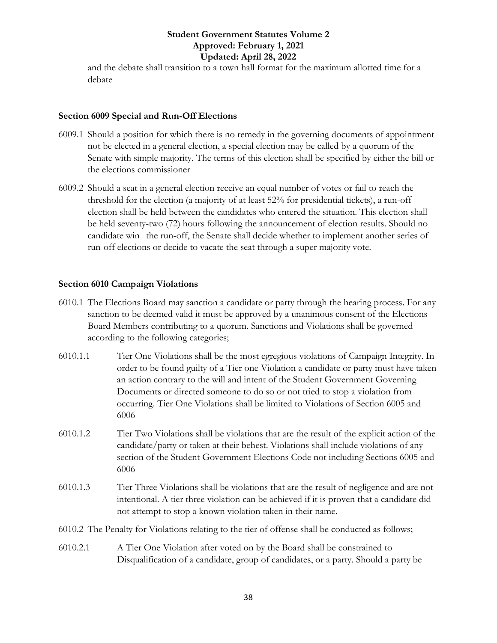and the debate shall transition to a town hall format for the maximum allotted time for a debate

#### <span id="page-37-0"></span>**Section 6009 Special and Run-Off Elections**

- 6009.1 Should a position for which there is no remedy in the governing documents of appointment not be elected in a general election, a special election may be called by a quorum of the Senate with simple majority. The terms of this election shall be specified by either the bill or the elections commissioner
- 6009.2 Should a seat in a general election receive an equal number of votes or fail to reach the threshold for the election (a majority of at least 52% for presidential tickets), a run-off election shall be held between the candidates who entered the situation. This election shall be held seventy-two (72) hours following the announcement of election results. Should no candidate win the run-off, the Senate shall decide whether to implement another series of run-off elections or decide to vacate the seat through a super majority vote.

#### <span id="page-37-1"></span>**Section 6010 Campaign Violations**

- 6010.1 The Elections Board may sanction a candidate or party through the hearing process. For any sanction to be deemed valid it must be approved by a unanimous consent of the Elections Board Members contributing to a quorum. Sanctions and Violations shall be governed according to the following categories;
- 6010.1.1 Tier One Violations shall be the most egregious violations of Campaign Integrity. In order to be found guilty of a Tier one Violation a candidate or party must have taken an action contrary to the will and intent of the Student Government Governing Documents or directed someone to do so or not tried to stop a violation from occurring. Tier One Violations shall be limited to Violations of Section 6005 and 6006
- 6010.1.2 Tier Two Violations shall be violations that are the result of the explicit action of the candidate/party or taken at their behest. Violations shall include violations of any section of the Student Government Elections Code not including Sections 6005 and 6006
- 6010.1.3 Tier Three Violations shall be violations that are the result of negligence and are not intentional. A tier three violation can be achieved if it is proven that a candidate did not attempt to stop a known violation taken in their name.
- 6010.2 The Penalty for Violations relating to the tier of offense shall be conducted as follows;
- 6010.2.1 A Tier One Violation after voted on by the Board shall be constrained to Disqualification of a candidate, group of candidates, or a party. Should a party be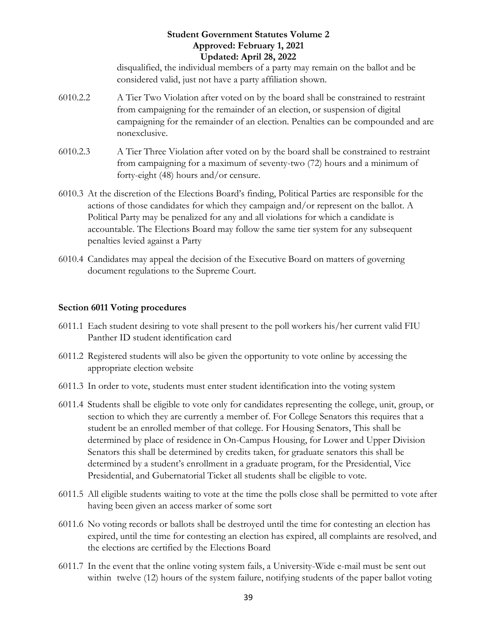disqualified, the individual members of a party may remain on the ballot and be considered valid, just not have a party affiliation shown.

- 6010.2.2 A Tier Two Violation after voted on by the board shall be constrained to restraint from campaigning for the remainder of an election, or suspension of digital campaigning for the remainder of an election. Penalties can be compounded and are nonexclusive.
- 6010.2.3 A Tier Three Violation after voted on by the board shall be constrained to restraint from campaigning for a maximum of seventy-two (72) hours and a minimum of forty-eight (48) hours and/or censure.
- 6010.3 At the discretion of the Elections Board's finding, Political Parties are responsible for the actions of those candidates for which they campaign and/or represent on the ballot. A Political Party may be penalized for any and all violations for which a candidate is accountable. The Elections Board may follow the same tier system for any subsequent penalties levied against a Party
- 6010.4 Candidates may appeal the decision of the Executive Board on matters of governing document regulations to the Supreme Court.

#### <span id="page-38-0"></span>**Section 6011 Voting procedures**

- 6011.1 Each student desiring to vote shall present to the poll workers his/her current valid FIU Panther ID student identification card
- 6011.2 Registered students will also be given the opportunity to vote online by accessing the appropriate election website
- 6011.3 In order to vote, students must enter student identification into the voting system
- 6011.4 Students shall be eligible to vote only for candidates representing the college, unit, group, or section to which they are currently a member of. For College Senators this requires that a student be an enrolled member of that college. For Housing Senators, This shall be determined by place of residence in On-Campus Housing, for Lower and Upper Division Senators this shall be determined by credits taken, for graduate senators this shall be determined by a student's enrollment in a graduate program, for the Presidential, Vice Presidential, and Gubernatorial Ticket all students shall be eligible to vote.
- 6011.5 All eligible students waiting to vote at the time the polls close shall be permitted to vote after having been given an access marker of some sort
- 6011.6 No voting records or ballots shall be destroyed until the time for contesting an election has expired, until the time for contesting an election has expired, all complaints are resolved, and the elections are certified by the Elections Board
- 6011.7 In the event that the online voting system fails, a University-Wide e-mail must be sent out within twelve (12) hours of the system failure, notifying students of the paper ballot voting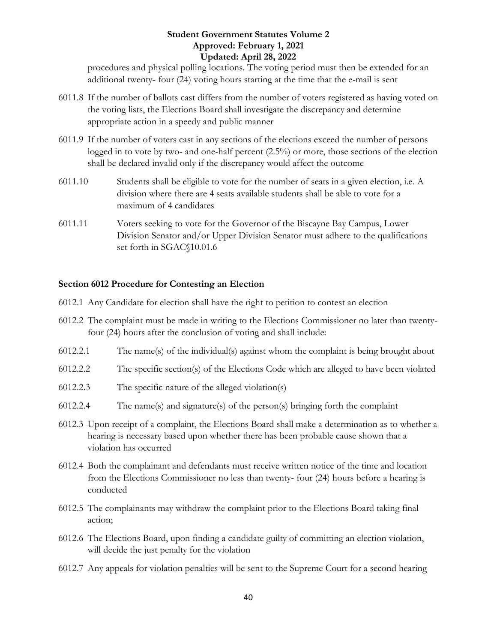procedures and physical polling locations. The voting period must then be extended for an additional twenty- four (24) voting hours starting at the time that the e-mail is sent

- 6011.8 If the number of ballots cast differs from the number of voters registered as having voted on the voting lists, the Elections Board shall investigate the discrepancy and determine appropriate action in a speedy and public manner
- 6011.9 If the number of voters cast in any sections of the elections exceed the number of persons logged in to vote by two- and one-half percent (2.5%) or more, those sections of the election shall be declared invalid only if the discrepancy would affect the outcome
- 6011.10 Students shall be eligible to vote for the number of seats in a given election, i.e. A division where there are 4 seats available students shall be able to vote for a maximum of 4 candidates
- 6011.11 Voters seeking to vote for the Governor of the Biscayne Bay Campus, Lower Division Senator and/or Upper Division Senator must adhere to the qualifications set forth in SGAC§10.01.6

#### <span id="page-39-0"></span>**Section 6012 Procedure for Contesting an Election**

- 6012.1 Any Candidate for election shall have the right to petition to contest an election
- 6012.2 The complaint must be made in writing to the Elections Commissioner no later than twentyfour (24) hours after the conclusion of voting and shall include:
- 6012.2.1 The name(s) of the individual(s) against whom the complaint is being brought about
- 6012.2.2 The specific section(s) of the Elections Code which are alleged to have been violated
- 6012.2.3 The specific nature of the alleged violation(s)
- 6012.2.4 The name(s) and signature(s) of the person(s) bringing forth the complaint
- 6012.3 Upon receipt of a complaint, the Elections Board shall make a determination as to whether a hearing is necessary based upon whether there has been probable cause shown that a violation has occurred
- 6012.4 Both the complainant and defendants must receive written notice of the time and location from the Elections Commissioner no less than twenty- four (24) hours before a hearing is conducted
- 6012.5 The complainants may withdraw the complaint prior to the Elections Board taking final action;
- 6012.6 The Elections Board, upon finding a candidate guilty of committing an election violation, will decide the just penalty for the violation
- 6012.7 Any appeals for violation penalties will be sent to the Supreme Court for a second hearing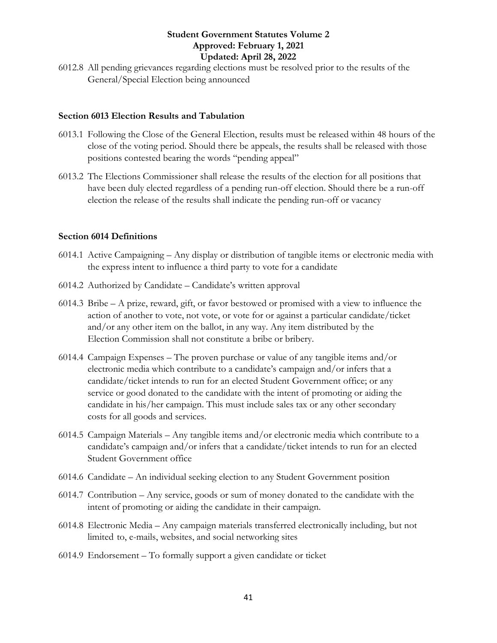6012.8 All pending grievances regarding elections must be resolved prior to the results of the General/Special Election being announced

#### <span id="page-40-0"></span>**Section 6013 Election Results and Tabulation**

- 6013.1 Following the Close of the General Election, results must be released within 48 hours of the close of the voting period. Should there be appeals, the results shall be released with those positions contested bearing the words "pending appeal"
- 6013.2 The Elections Commissioner shall release the results of the election for all positions that have been duly elected regardless of a pending run-off election. Should there be a run-off election the release of the results shall indicate the pending run-off or vacancy

#### <span id="page-40-1"></span>**Section 6014 Definitions**

- 6014.1 Active Campaigning Any display or distribution of tangible items or electronic media with the express intent to influence a third party to vote for a candidate
- 6014.2 Authorized by Candidate Candidate's written approval
- 6014.3 Bribe A prize, reward, gift, or favor bestowed or promised with a view to influence the action of another to vote, not vote, or vote for or against a particular candidate/ticket and/or any other item on the ballot, in any way. Any item distributed by the Election Commission shall not constitute a bribe or bribery.
- 6014.4 Campaign Expenses The proven purchase or value of any tangible items and/or electronic media which contribute to a candidate's campaign and/or infers that a candidate/ticket intends to run for an elected Student Government office; or any service or good donated to the candidate with the intent of promoting or aiding the candidate in his/her campaign. This must include sales tax or any other secondary costs for all goods and services.
- 6014.5 Campaign Materials Any tangible items and/or electronic media which contribute to a candidate's campaign and/or infers that a candidate/ticket intends to run for an elected Student Government office
- 6014.6 Candidate An individual seeking election to any Student Government position
- 6014.7 Contribution Any service, goods or sum of money donated to the candidate with the intent of promoting or aiding the candidate in their campaign.
- 6014.8 Electronic Media Any campaign materials transferred electronically including, but not limited to, e-mails, websites, and social networking sites
- 6014.9 Endorsement To formally support a given candidate or ticket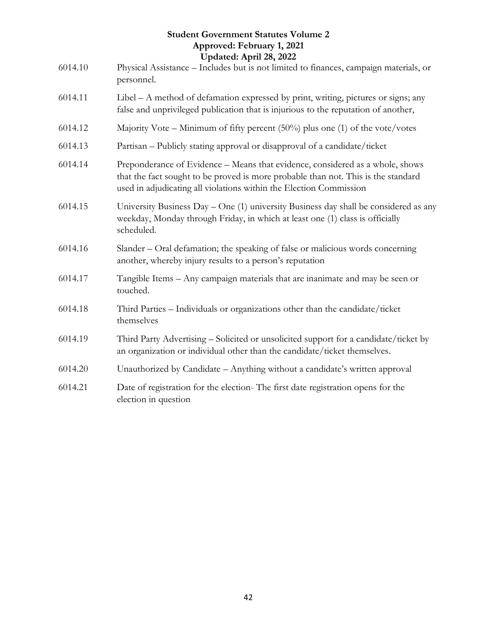|         | <b>Student Government Statutes Volume 2</b><br>Approved: February 1, 2021                                                                                                                                                                |
|---------|------------------------------------------------------------------------------------------------------------------------------------------------------------------------------------------------------------------------------------------|
| 6014.10 | Updated: April 28, 2022<br>Physical Assistance - Includes but is not limited to finances, campaign materials, or<br>personnel.                                                                                                           |
| 6014.11 | Libel – A method of defamation expressed by print, writing, pictures or signs; any<br>false and unprivileged publication that is injurious to the reputation of another,                                                                 |
| 6014.12 | Majority Vote – Minimum of fifty percent $(50\%)$ plus one (1) of the vote/votes                                                                                                                                                         |
| 6014.13 | Partisan – Publicly stating approval or disapproval of a candidate/ticket                                                                                                                                                                |
| 6014.14 | Preponderance of Evidence – Means that evidence, considered as a whole, shows<br>that the fact sought to be proved is more probable than not. This is the standard<br>used in adjudicating all violations within the Election Commission |
| 6014.15 | University Business $Day - One$ (1) university Business day shall be considered as any<br>weekday, Monday through Friday, in which at least one (1) class is officially<br>scheduled.                                                    |
| 6014.16 | Slander - Oral defamation; the speaking of false or malicious words concerning<br>another, whereby injury results to a person's reputation                                                                                               |
| 6014.17 | Tangible Items - Any campaign materials that are inanimate and may be seen or<br>touched.                                                                                                                                                |
| 6014.18 | Third Parties - Individuals or organizations other than the candidate/ticket<br>themselves                                                                                                                                               |
| 6014.19 | Third Party Advertising - Solicited or unsolicited support for a candidate/ticket by<br>an organization or individual other than the candidate/ticket themselves.                                                                        |
| 6014.20 | Unauthorized by Candidate - Anything without a candidate's written approval                                                                                                                                                              |
| 6014.21 | Date of registration for the election- The first date registration opens for the<br>election in question                                                                                                                                 |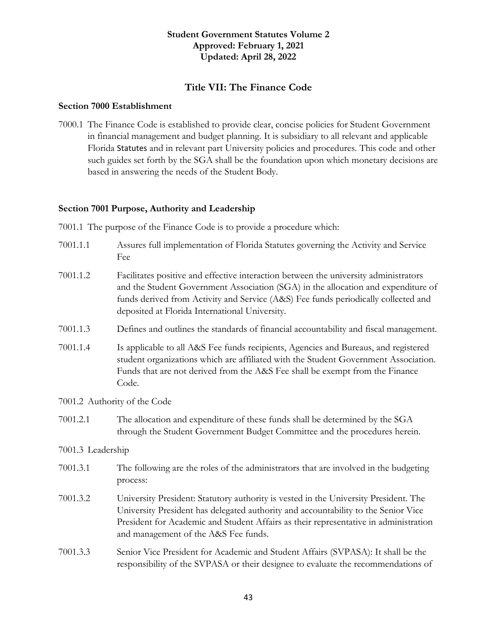#### **Title VII: The Finance Code**

#### <span id="page-42-1"></span><span id="page-42-0"></span>**Section 7000 Establishment**

7000.1 The Finance Code is established to provide clear, concise policies for Student Government in financial management and budget planning. It is subsidiary to all relevant and applicable Florida Statutes and in relevant part University policies and procedures. This code and other such guides set forth by the SGA shall be the foundation upon which monetary decisions are based in answering the needs of the Student Body.

#### <span id="page-42-2"></span>**Section 7001 Purpose, Authority and Leadership**

7001.1 The purpose of the Finance Code is to provide a procedure which:

| 7001.1.1 | Assures full implementation of Florida Statutes governing the Activity and Service |
|----------|------------------------------------------------------------------------------------|
|          | <b>Fee</b>                                                                         |

- 7001.1.2 Facilitates positive and effective interaction between the university administrators and the Student Government Association (SGA) in the allocation and expenditure of funds derived from Activity and Service (A&S) Fee funds periodically collected and deposited at Florida International University.
- 7001.1.3 Defines and outlines the standards of financial accountability and fiscal management.
- 7001.1.4 Is applicable to all A&S Fee funds recipients, Agencies and Bureaus, and registered student organizations which are affiliated with the Student Government Association. Funds that are not derived from the A&S Fee shall be exempt from the Finance Code.
- 7001.2 Authority of the Code
- 7001.2.1 The allocation and expenditure of these funds shall be determined by the SGA through the Student Government Budget Committee and the procedures herein.

#### 7001.3 Leadership

- 7001.3.1 The following are the roles of the administrators that are involved in the budgeting process:
- 7001.3.2 University President: Statutory authority is vested in the University President. The University President has delegated authority and accountability to the Senior Vice President for Academic and Student Affairs as their representative in administration and management of the A&S Fee funds.
- 7001.3.3 Senior Vice President for Academic and Student Affairs (SVPASA): It shall be the responsibility of the SVPASA or their designee to evaluate the recommendations of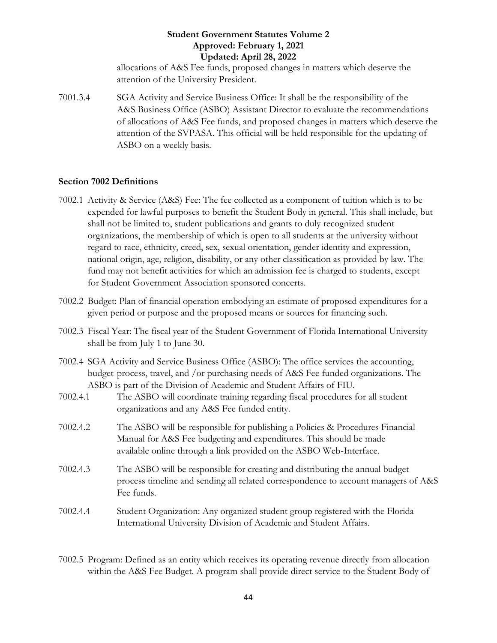allocations of A&S Fee funds, proposed changes in matters which deserve the attention of the University President.

7001.3.4 SGA Activity and Service Business Office: It shall be the responsibility of the A&S Business Office (ASBO) Assistant Director to evaluate the recommendations of allocations of A&S Fee funds, and proposed changes in matters which deserve the attention of the SVPASA. This official will be held responsible for the updating of ASBO on a weekly basis.

#### <span id="page-43-0"></span>**Section 7002 Definitions**

- 7002.1 Activity & Service (A&S) Fee: The fee collected as a component of tuition which is to be expended for lawful purposes to benefit the Student Body in general. This shall include, but shall not be limited to, student publications and grants to duly recognized student organizations, the membership of which is open to all students at the university without regard to race, ethnicity, creed, sex, sexual orientation, gender identity and expression, national origin, age, religion, disability, or any other classification as provided by law. The fund may not benefit activities for which an admission fee is charged to students, except for Student Government Association sponsored concerts.
- 7002.2 Budget: Plan of financial operation embodying an estimate of proposed expenditures for a given period or purpose and the proposed means or sources for financing such.
- 7002.3 Fiscal Year: The fiscal year of the Student Government of Florida International University shall be from July 1 to June 30.
- 7002.4 SGA Activity and Service Business Office (ASBO): The office services the accounting, budget process, travel, and /or purchasing needs of A&S Fee funded organizations. The ASBO is part of the Division of Academic and Student Affairs of FIU.
- 7002.4.1 The ASBO will coordinate training regarding fiscal procedures for all student organizations and any A&S Fee funded entity.
- 7002.4.2 The ASBO will be responsible for publishing a Policies & Procedures Financial Manual for A&S Fee budgeting and expenditures. This should be made available online through a link provided on the ASBO Web-Interface.
- 7002.4.3 The ASBO will be responsible for creating and distributing the annual budget process timeline and sending all related correspondence to account managers of A&S Fee funds.
- 7002.4.4 Student Organization: Any organized student group registered with the Florida International University Division of Academic and Student Affairs.
- 7002.5 Program: Defined as an entity which receives its operating revenue directly from allocation within the A&S Fee Budget. A program shall provide direct service to the Student Body of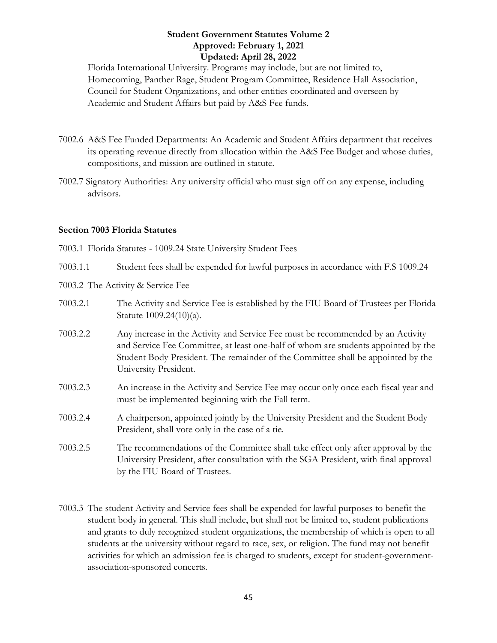Florida International University. Programs may include, but are not limited to, Homecoming, Panther Rage, Student Program Committee, Residence Hall Association, Council for Student Organizations, and other entities coordinated and overseen by Academic and Student Affairs but paid by A&S Fee funds.

- 7002.6 A&S Fee Funded Departments: An Academic and Student Affairs department that receives its operating revenue directly from allocation within the A&S Fee Budget and whose duties, compositions, and mission are outlined in statute.
- 7002.7 Signatory Authorities: Any university official who must sign off on any expense, including advisors.

#### <span id="page-44-0"></span>**Section 7003 Florida Statutes**

- 7003.1 Florida Statutes 1009.24 State University Student Fees
- 7003.1.1 Student fees shall be expended for lawful purposes in accordance with F.S 1009.24
- 7003.2 The Activity & Service Fee
- 7003.2.1 The Activity and Service Fee is established by the FIU Board of Trustees per Florida Statute 1009.24(10)(a).
- 7003.2.2 Any increase in the Activity and Service Fee must be recommended by an Activity and Service Fee Committee, at least one-half of whom are students appointed by the Student Body President. The remainder of the Committee shall be appointed by the University President.
- 7003.2.3 An increase in the Activity and Service Fee may occur only once each fiscal year and must be implemented beginning with the Fall term.
- 7003.2.4 A chairperson, appointed jointly by the University President and the Student Body President, shall vote only in the case of a tie.
- 7003.2.5 The recommendations of the Committee shall take effect only after approval by the University President, after consultation with the SGA President, with final approval by the FIU Board of Trustees.
- 7003.3 The student Activity and Service fees shall be expended for lawful purposes to benefit the student body in general. This shall include, but shall not be limited to, student publications and grants to duly recognized student organizations, the membership of which is open to all students at the university without regard to race, sex, or religion. The fund may not benefit activities for which an admission fee is charged to students, except for student-governmentassociation-sponsored concerts.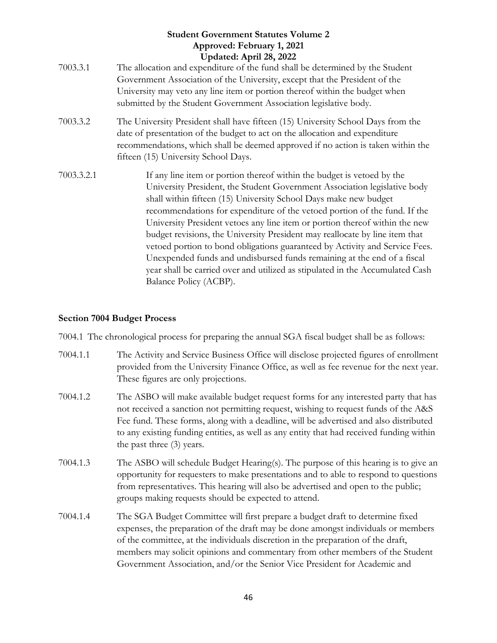- 7003.3.1 The allocation and expenditure of the fund shall be determined by the Student Government Association of the University, except that the President of the University may veto any line item or portion thereof within the budget when submitted by the Student Government Association legislative body.
- 7003.3.2 The University President shall have fifteen (15) University School Days from the date of presentation of the budget to act on the allocation and expenditure recommendations, which shall be deemed approved if no action is taken within the fifteen (15) University School Days.
- 7003.3.2.1 If any line item or portion thereof within the budget is vetoed by the University President, the Student Government Association legislative body shall within fifteen (15) University School Days make new budget recommendations for expenditure of the vetoed portion of the fund. If the University President vetoes any line item or portion thereof within the new budget revisions, the University President may reallocate by line item that vetoed portion to bond obligations guaranteed by Activity and Service Fees. Unexpended funds and undisbursed funds remaining at the end of a fiscal year shall be carried over and utilized as stipulated in the Accumulated Cash Balance Policy (ACBP).

#### <span id="page-45-0"></span>**Section 7004 Budget Process**

7004.1 The chronological process for preparing the annual SGA fiscal budget shall be as follows:

- 7004.1.1 The Activity and Service Business Office will disclose projected figures of enrollment provided from the University Finance Office, as well as fee revenue for the next year. These figures are only projections.
- 7004.1.2 The ASBO will make available budget request forms for any interested party that has not received a sanction not permitting request, wishing to request funds of the A&S Fee fund. These forms, along with a deadline, will be advertised and also distributed to any existing funding entities, as well as any entity that had received funding within the past three (3) years.
- 7004.1.3 The ASBO will schedule Budget Hearing(s). The purpose of this hearing is to give an opportunity for requesters to make presentations and to able to respond to questions from representatives. This hearing will also be advertised and open to the public; groups making requests should be expected to attend.
- 7004.1.4 The SGA Budget Committee will first prepare a budget draft to determine fixed expenses, the preparation of the draft may be done amongst individuals or members of the committee, at the individuals discretion in the preparation of the draft, members may solicit opinions and commentary from other members of the Student Government Association, and/or the Senior Vice President for Academic and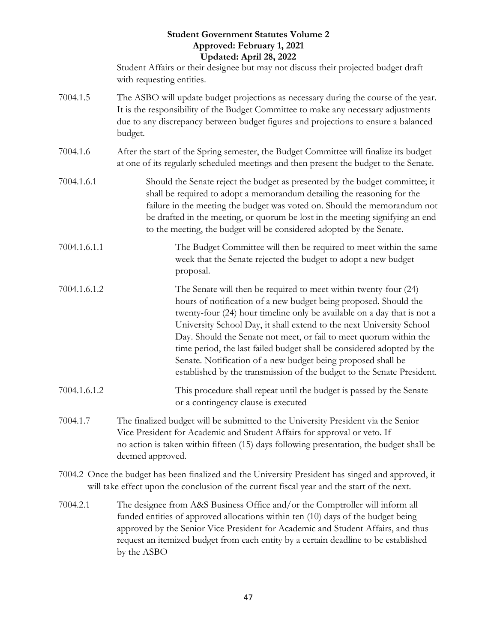Student Affairs or their designee but may not discuss their projected budget draft with requesting entities.

- 7004.1.5 The ASBO will update budget projections as necessary during the course of the year. It is the responsibility of the Budget Committee to make any necessary adjustments due to any discrepancy between budget figures and projections to ensure a balanced budget.
- 7004.1.6 After the start of the Spring semester, the Budget Committee will finalize its budget at one of its regularly scheduled meetings and then present the budget to the Senate.
- 7004.1.6.1 Should the Senate reject the budget as presented by the budget committee; it shall be required to adopt a memorandum detailing the reasoning for the failure in the meeting the budget was voted on. Should the memorandum not be drafted in the meeting, or quorum be lost in the meeting signifying an end to the meeting, the budget will be considered adopted by the Senate.
- 7004.1.6.1.1 The Budget Committee will then be required to meet within the same week that the Senate rejected the budget to adopt a new budget proposal.
- 7004.1.6.1.2 The Senate will then be required to meet within twenty-four (24) hours of notification of a new budget being proposed. Should the twenty-four (24) hour timeline only be available on a day that is not a University School Day, it shall extend to the next University School Day. Should the Senate not meet, or fail to meet quorum within the time period, the last failed budget shall be considered adopted by the Senate. Notification of a new budget being proposed shall be established by the transmission of the budget to the Senate President.
- 7004.1.6.1.2 This procedure shall repeat until the budget is passed by the Senate or a contingency clause is executed
- 7004.1.7 The finalized budget will be submitted to the University President via the Senior Vice President for Academic and Student Affairs for approval or veto. If no action is taken within fifteen (15) days following presentation, the budget shall be deemed approved.
- 7004.2 Once the budget has been finalized and the University President has singed and approved, it will take effect upon the conclusion of the current fiscal year and the start of the next.
- 7004.2.1 The designee from A&S Business Office and/or the Comptroller will inform all funded entities of approved allocations within ten (10) days of the budget being approved by the Senior Vice President for Academic and Student Affairs, and thus request an itemized budget from each entity by a certain deadline to be established by the ASBO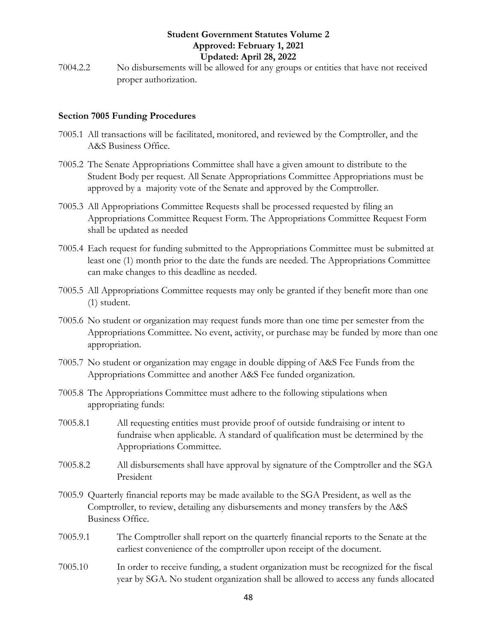7004.2.2 No disbursements will be allowed for any groups or entities that have not received proper authorization.

#### <span id="page-47-0"></span>**Section 7005 Funding Procedures**

- 7005.1 All transactions will be facilitated, monitored, and reviewed by the Comptroller, and the A&S Business Office.
- 7005.2 The Senate Appropriations Committee shall have a given amount to distribute to the Student Body per request. All Senate Appropriations Committee Appropriations must be approved by a majority vote of the Senate and approved by the Comptroller.
- 7005.3 All Appropriations Committee Requests shall be processed requested by filing an Appropriations Committee Request Form. The Appropriations Committee Request Form shall be updated as needed
- 7005.4 Each request for funding submitted to the Appropriations Committee must be submitted at least one (1) month prior to the date the funds are needed. The Appropriations Committee can make changes to this deadline as needed.
- 7005.5 All Appropriations Committee requests may only be granted if they benefit more than one (1) student.
- 7005.6 No student or organization may request funds more than one time per semester from the Appropriations Committee. No event, activity, or purchase may be funded by more than one appropriation.
- 7005.7 No student or organization may engage in double dipping of A&S Fee Funds from the Appropriations Committee and another A&S Fee funded organization.
- 7005.8 The Appropriations Committee must adhere to the following stipulations when appropriating funds:
- 7005.8.1 All requesting entities must provide proof of outside fundraising or intent to fundraise when applicable. A standard of qualification must be determined by the Appropriations Committee.
- 7005.8.2 All disbursements shall have approval by signature of the Comptroller and the SGA President
- 7005.9 Quarterly financial reports may be made available to the SGA President, as well as the Comptroller, to review, detailing any disbursements and money transfers by the A&S Business Office.
- 7005.9.1 The Comptroller shall report on the quarterly financial reports to the Senate at the earliest convenience of the comptroller upon receipt of the document.
- 7005.10 In order to receive funding, a student organization must be recognized for the fiscal year by SGA. No student organization shall be allowed to access any funds allocated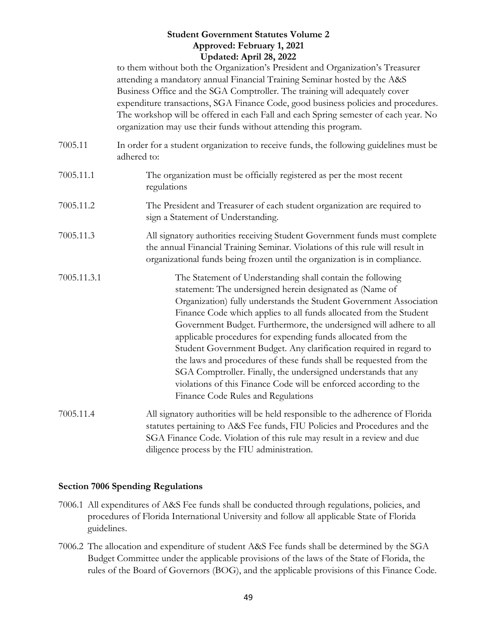to them without both the Organization's President and Organization's Treasurer attending a mandatory annual Financial Training Seminar hosted by the A&S Business Office and the SGA Comptroller. The training will adequately cover expenditure transactions, SGA Finance Code, good business policies and procedures. The workshop will be offered in each Fall and each Spring semester of each year. No organization may use their funds without attending this program.

- 7005.11 In order for a student organization to receive funds, the following guidelines must be adhered to:
- 7005.11.1 The organization must be officially registered as per the most recent regulations
- 7005.11.2 The President and Treasurer of each student organization are required to sign a Statement of Understanding.
- 7005.11.3 All signatory authorities receiving Student Government funds must complete the annual Financial Training Seminar. Violations of this rule will result in organizational funds being frozen until the organization is in compliance.
- 7005.11.3.1 The Statement of Understanding shall contain the following statement: The undersigned herein designated as (Name of Organization) fully understands the Student Government Association Finance Code which applies to all funds allocated from the Student Government Budget. Furthermore, the undersigned will adhere to all applicable procedures for expending funds allocated from the Student Government Budget. Any clarification required in regard to the laws and procedures of these funds shall be requested from the SGA Comptroller. Finally, the undersigned understands that any violations of this Finance Code will be enforced according to the Finance Code Rules and Regulations
- 7005.11.4 All signatory authorities will be held responsible to the adherence of Florida statutes pertaining to A&S Fee funds, FIU Policies and Procedures and the SGA Finance Code. Violation of this rule may result in a review and due diligence process by the FIU administration.

#### <span id="page-48-0"></span>**Section 7006 Spending Regulations**

- 7006.1 All expenditures of A&S Fee funds shall be conducted through regulations, policies, and procedures of Florida International University and follow all applicable State of Florida guidelines.
- 7006.2 The allocation and expenditure of student A&S Fee funds shall be determined by the SGA Budget Committee under the applicable provisions of the laws of the State of Florida, the rules of the Board of Governors (BOG), and the applicable provisions of this Finance Code.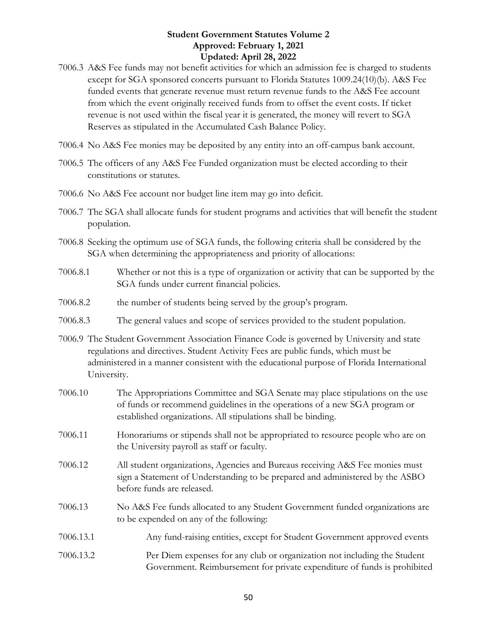- 7006.3 A&S Fee funds may not benefit activities for which an admission fee is charged to students except for SGA sponsored concerts pursuant to Florida Statutes 1009.24(10)(b). A&S Fee funded events that generate revenue must return revenue funds to the A&S Fee account from which the event originally received funds from to offset the event costs. If ticket revenue is not used within the fiscal year it is generated, the money will revert to SGA Reserves as stipulated in the Accumulated Cash Balance Policy.
- 7006.4 No A&S Fee monies may be deposited by any entity into an off-campus bank account.
- 7006.5 The officers of any A&S Fee Funded organization must be elected according to their constitutions or statutes.
- 7006.6 No A&S Fee account nor budget line item may go into deficit.
- 7006.7 The SGA shall allocate funds for student programs and activities that will benefit the student population.
- 7006.8 Seeking the optimum use of SGA funds, the following criteria shall be considered by the SGA when determining the appropriateness and priority of allocations:
- 7006.8.1 Whether or not this is a type of organization or activity that can be supported by the SGA funds under current financial policies.
- 7006.8.2 the number of students being served by the group's program.
- 7006.8.3 The general values and scope of services provided to the student population.
- 7006.9 The Student Government Association Finance Code is governed by University and state regulations and directives. Student Activity Fees are public funds, which must be administered in a manner consistent with the educational purpose of Florida International University.
- 7006.10 The Appropriations Committee and SGA Senate may place stipulations on the use of funds or recommend guidelines in the operations of a new SGA program or established organizations. All stipulations shall be binding. 7006.11 Honorariums or stipends shall not be appropriated to resource people who are on the University payroll as staff or faculty. 7006.12 All student organizations, Agencies and Bureaus receiving A&S Fee monies must sign a Statement of Understanding to be prepared and administered by the ASBO before funds are released.
- 7006.13 No A&S Fee funds allocated to any Student Government funded organizations are to be expended on any of the following:
- 7006.13.1 Any fund-raising entities, except for Student Government approved events
- 7006.13.2 Per Diem expenses for any club or organization not including the Student Government. Reimbursement for private expenditure of funds is prohibited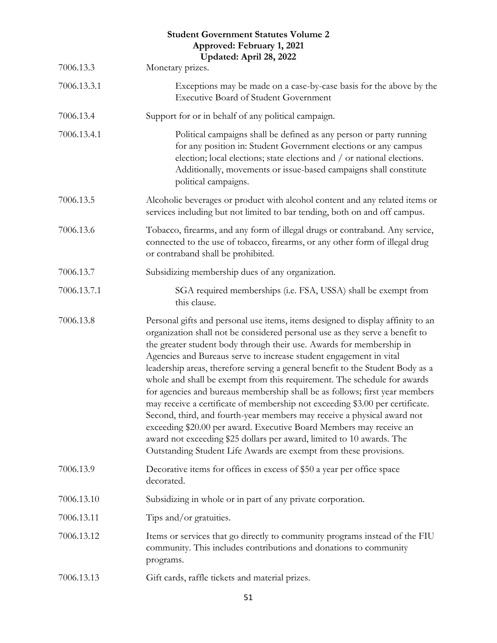|             | <b>Student Government Statutes Volume 2</b><br>Approved: February 1, 2021<br>Updated: April 28, 2022                                                                                                                                                                                                                                                                                                                                                                                                                                                                                                                                                                                                                                                                                                                                                                                                                                        |
|-------------|---------------------------------------------------------------------------------------------------------------------------------------------------------------------------------------------------------------------------------------------------------------------------------------------------------------------------------------------------------------------------------------------------------------------------------------------------------------------------------------------------------------------------------------------------------------------------------------------------------------------------------------------------------------------------------------------------------------------------------------------------------------------------------------------------------------------------------------------------------------------------------------------------------------------------------------------|
| 7006.13.3   | Monetary prizes.                                                                                                                                                                                                                                                                                                                                                                                                                                                                                                                                                                                                                                                                                                                                                                                                                                                                                                                            |
| 7006.13.3.1 | Exceptions may be made on a case-by-case basis for the above by the<br><b>Executive Board of Student Government</b>                                                                                                                                                                                                                                                                                                                                                                                                                                                                                                                                                                                                                                                                                                                                                                                                                         |
| 7006.13.4   | Support for or in behalf of any political campaign.                                                                                                                                                                                                                                                                                                                                                                                                                                                                                                                                                                                                                                                                                                                                                                                                                                                                                         |
| 7006.13.4.1 | Political campaigns shall be defined as any person or party running<br>for any position in: Student Government elections or any campus<br>election; local elections; state elections and / or national elections.<br>Additionally, movements or issue-based campaigns shall constitute<br>political campaigns.                                                                                                                                                                                                                                                                                                                                                                                                                                                                                                                                                                                                                              |
| 7006.13.5   | Alcoholic beverages or product with alcohol content and any related items or<br>services including but not limited to bar tending, both on and off campus.                                                                                                                                                                                                                                                                                                                                                                                                                                                                                                                                                                                                                                                                                                                                                                                  |
| 7006.13.6   | Tobacco, firearms, and any form of illegal drugs or contraband. Any service,<br>connected to the use of tobacco, firearms, or any other form of illegal drug<br>or contraband shall be prohibited.                                                                                                                                                                                                                                                                                                                                                                                                                                                                                                                                                                                                                                                                                                                                          |
| 7006.13.7   | Subsidizing membership dues of any organization.                                                                                                                                                                                                                                                                                                                                                                                                                                                                                                                                                                                                                                                                                                                                                                                                                                                                                            |
| 7006.13.7.1 | SGA required memberships (i.e. FSA, USSA) shall be exempt from<br>this clause.                                                                                                                                                                                                                                                                                                                                                                                                                                                                                                                                                                                                                                                                                                                                                                                                                                                              |
| 7006.13.8   | Personal gifts and personal use items, items designed to display affinity to an<br>organization shall not be considered personal use as they serve a benefit to<br>the greater student body through their use. Awards for membership in<br>Agencies and Bureaus serve to increase student engagement in vital<br>leadership areas, therefore serving a general benefit to the Student Body as a<br>whole and shall be exempt from this requirement. The schedule for awards<br>for agencies and bureaus membership shall be as follows; first year members<br>may receive a certificate of membership not exceeding \$3.00 per certificate.<br>Second, third, and fourth-year members may receive a physical award not<br>exceeding \$20.00 per award. Executive Board Members may receive an<br>award not exceeding \$25 dollars per award, limited to 10 awards. The<br>Outstanding Student Life Awards are exempt from these provisions. |
| 7006.13.9   | Decorative items for offices in excess of \$50 a year per office space<br>decorated.                                                                                                                                                                                                                                                                                                                                                                                                                                                                                                                                                                                                                                                                                                                                                                                                                                                        |
| 7006.13.10  | Subsidizing in whole or in part of any private corporation.                                                                                                                                                                                                                                                                                                                                                                                                                                                                                                                                                                                                                                                                                                                                                                                                                                                                                 |
| 7006.13.11  | Tips and/or gratuities.                                                                                                                                                                                                                                                                                                                                                                                                                                                                                                                                                                                                                                                                                                                                                                                                                                                                                                                     |
| 7006.13.12  | Items or services that go directly to community programs instead of the FIU<br>community. This includes contributions and donations to community<br>programs.                                                                                                                                                                                                                                                                                                                                                                                                                                                                                                                                                                                                                                                                                                                                                                               |
| 7006.13.13  | Gift cards, raffle tickets and material prizes.                                                                                                                                                                                                                                                                                                                                                                                                                                                                                                                                                                                                                                                                                                                                                                                                                                                                                             |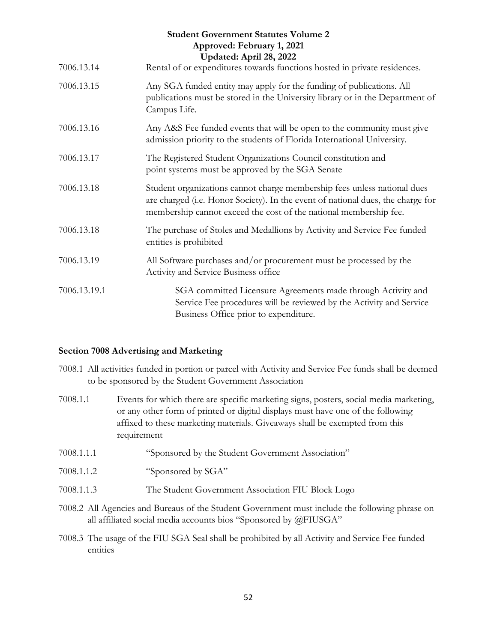| <b>Student Government Statutes Volume 2</b><br>Approved: February 1, 2021<br>Updated: April 28, 2022 |                                                                                                                                                                                                                                  |  |
|------------------------------------------------------------------------------------------------------|----------------------------------------------------------------------------------------------------------------------------------------------------------------------------------------------------------------------------------|--|
| 7006.13.14                                                                                           | Rental of or expenditures towards functions hosted in private residences.                                                                                                                                                        |  |
| 7006.13.15                                                                                           | Any SGA funded entity may apply for the funding of publications. All<br>publications must be stored in the University library or in the Department of<br>Campus Life.                                                            |  |
| 7006.13.16                                                                                           | Any A&S Fee funded events that will be open to the community must give<br>admission priority to the students of Florida International University.                                                                                |  |
| 7006.13.17                                                                                           | The Registered Student Organizations Council constitution and<br>point systems must be approved by the SGA Senate                                                                                                                |  |
| 7006.13.18                                                                                           | Student organizations cannot charge membership fees unless national dues<br>are charged (i.e. Honor Society). In the event of national dues, the charge for<br>membership cannot exceed the cost of the national membership fee. |  |
| 7006.13.18                                                                                           | The purchase of Stoles and Medallions by Activity and Service Fee funded<br>entities is prohibited                                                                                                                               |  |
| 7006.13.19                                                                                           | All Software purchases and/or procurement must be processed by the<br>Activity and Service Business office                                                                                                                       |  |
| 7006.13.19.1                                                                                         | SGA committed Licensure Agreements made through Activity and<br>Service Fee procedures will be reviewed by the Activity and Service<br>Business Office prior to expenditure.                                                     |  |

#### <span id="page-51-0"></span>**Section 7008 Advertising and Marketing**

- 7008.1 All activities funded in portion or parcel with Activity and Service Fee funds shall be deemed to be sponsored by the Student Government Association
- 7008.1.1 Events for which there are specific marketing signs, posters, social media marketing, or any other form of printed or digital displays must have one of the following affixed to these marketing materials. Giveaways shall be exempted from this requirement
- 7008.1.1.1 "Sponsored by the Student Government Association"
- 7008.1.1.2 "Sponsored by SGA"
- 7008.1.1.3 The Student Government Association FIU Block Logo
- 7008.2 All Agencies and Bureaus of the Student Government must include the following phrase on all affiliated social media accounts bios "Sponsored by @FIUSGA"
- 7008.3 The usage of the FIU SGA Seal shall be prohibited by all Activity and Service Fee funded entities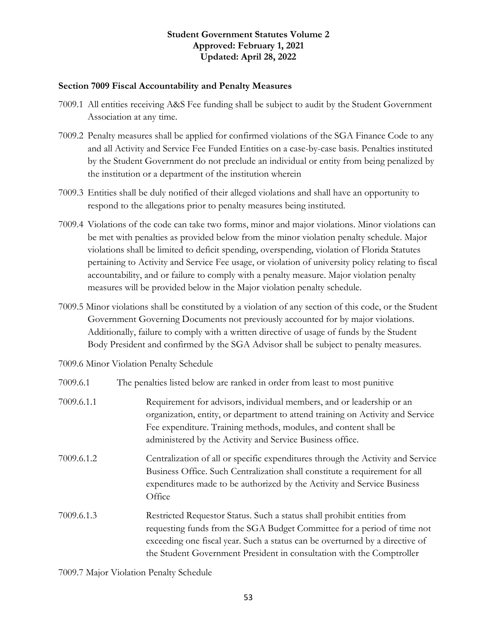#### <span id="page-52-0"></span>**Section 7009 Fiscal Accountability and Penalty Measures**

- 7009.1 All entities receiving A&S Fee funding shall be subject to audit by the Student Government Association at any time.
- 7009.2 Penalty measures shall be applied for confirmed violations of the SGA Finance Code to any and all Activity and Service Fee Funded Entities on a case-by-case basis. Penalties instituted by the Student Government do not preclude an individual or entity from being penalized by the institution or a department of the institution wherein
- 7009.3 Entities shall be duly notified of their alleged violations and shall have an opportunity to respond to the allegations prior to penalty measures being instituted.
- 7009.4 Violations of the code can take two forms, minor and major violations. Minor violations can be met with penalties as provided below from the minor violation penalty schedule. Major violations shall be limited to deficit spending, overspending, violation of Florida Statutes pertaining to Activity and Service Fee usage, or violation of university policy relating to fiscal accountability, and or failure to comply with a penalty measure. Major violation penalty measures will be provided below in the Major violation penalty schedule.
- 7009.5 Minor violations shall be constituted by a violation of any section of this code, or the Student Government Governing Documents not previously accounted for by major violations. Additionally, failure to comply with a written directive of usage of funds by the Student Body President and confirmed by the SGA Advisor shall be subject to penalty measures.
- 7009.6 Minor Violation Penalty Schedule

| 7009.6.1   | The penalties listed below are ranked in order from least to most punitive                                                                                                                                                                                                                                  |
|------------|-------------------------------------------------------------------------------------------------------------------------------------------------------------------------------------------------------------------------------------------------------------------------------------------------------------|
| 7009.6.1.1 | Requirement for advisors, individual members, and or leadership or an<br>organization, entity, or department to attend training on Activity and Service<br>Fee expenditure. Training methods, modules, and content shall be<br>administered by the Activity and Service Business office.                    |
| 7009.6.1.2 | Centralization of all or specific expenditures through the Activity and Service<br>Business Office. Such Centralization shall constitute a requirement for all<br>expenditures made to be authorized by the Activity and Service Business<br>Office                                                         |
| 7009.6.1.3 | Restricted Requestor Status. Such a status shall prohibit entities from<br>requesting funds from the SGA Budget Committee for a period of time not<br>exceeding one fiscal year. Such a status can be overturned by a directive of<br>the Student Government President in consultation with the Comptroller |

7009.7 Major Violation Penalty Schedule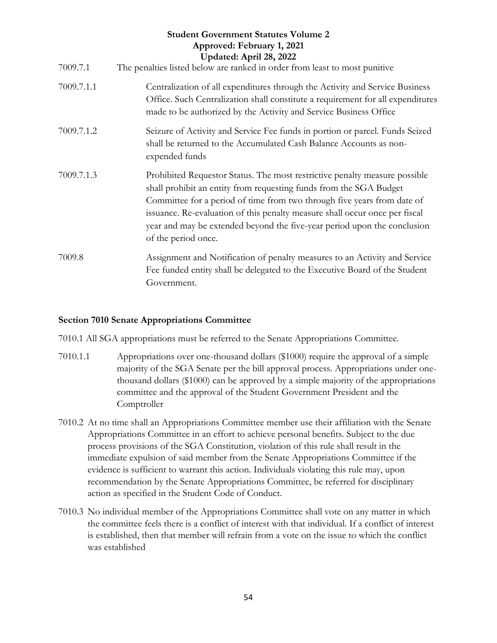| <b>Student Government Statutes Volume 2</b><br>Approved: February 1, 2021<br>Updated: April 28, 2022<br>7009.7.1<br>The penalties listed below are ranked in order from least to most punitive |                                                                                                                                                                                                                                                                                                                                                                                                               |  |
|------------------------------------------------------------------------------------------------------------------------------------------------------------------------------------------------|---------------------------------------------------------------------------------------------------------------------------------------------------------------------------------------------------------------------------------------------------------------------------------------------------------------------------------------------------------------------------------------------------------------|--|
| 7009.7.1.1                                                                                                                                                                                     | Centralization of all expenditures through the Activity and Service Business<br>Office. Such Centralization shall constitute a requirement for all expenditures<br>made to be authorized by the Activity and Service Business Office                                                                                                                                                                          |  |
| 7009.7.1.2                                                                                                                                                                                     | Seizure of Activity and Service Fee funds in portion or parcel. Funds Seized<br>shall be returned to the Accumulated Cash Balance Accounts as non-<br>expended funds                                                                                                                                                                                                                                          |  |
| 7009.7.1.3                                                                                                                                                                                     | Prohibited Requestor Status. The most restrictive penalty measure possible<br>shall prohibit an entity from requesting funds from the SGA Budget<br>Committee for a period of time from two through five years from date of<br>issuance. Re-evaluation of this penalty measure shall occur once per fiscal<br>year and may be extended beyond the five-year period upon the conclusion<br>of the period once. |  |
| 7009.8                                                                                                                                                                                         | Assignment and Notification of penalty measures to an Activity and Service<br>Fee funded entity shall be delegated to the Executive Board of the Student<br>Government.                                                                                                                                                                                                                                       |  |

#### <span id="page-53-0"></span>**Section 7010 Senate Appropriations Committee**

7010.1 All SGA appropriations must be referred to the Senate Appropriations Committee.

- 7010.1.1 Appropriations over one-thousand dollars (\$1000) require the approval of a simple majority of the SGA Senate per the bill approval process. Appropriations under onethousand dollars (\$1000) can be approved by a simple majority of the appropriations committee and the approval of the Student Government President and the Comptroller
- 7010.2 At no time shall an Appropriations Committee member use their affiliation with the Senate Appropriations Committee in an effort to achieve personal benefits. Subject to the due process provisions of the SGA Constitution, violation of this rule shall result in the immediate expulsion of said member from the Senate Appropriations Committee if the evidence is sufficient to warrant this action. Individuals violating this rule may, upon recommendation by the Senate Appropriations Committee, be referred for disciplinary action as specified in the Student Code of Conduct.
- 7010.3 No individual member of the Appropriations Committee shall vote on any matter in which the committee feels there is a conflict of interest with that individual. If a conflict of interest is established, then that member will refrain from a vote on the issue to which the conflict was established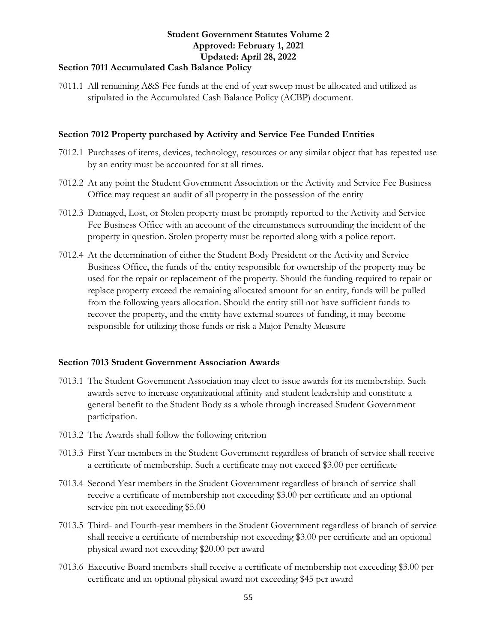#### <span id="page-54-0"></span>**Section 7011 Accumulated Cash Balance Policy**

7011.1 All remaining A&S Fee funds at the end of year sweep must be allocated and utilized as stipulated in the Accumulated Cash Balance Policy (ACBP) document.

#### <span id="page-54-1"></span>**Section 7012 Property purchased by Activity and Service Fee Funded Entities**

- 7012.1 Purchases of items, devices, technology, resources or any similar object that has repeated use by an entity must be accounted for at all times.
- 7012.2 At any point the Student Government Association or the Activity and Service Fee Business Office may request an audit of all property in the possession of the entity
- 7012.3 Damaged, Lost, or Stolen property must be promptly reported to the Activity and Service Fee Business Office with an account of the circumstances surrounding the incident of the property in question. Stolen property must be reported along with a police report.
- 7012.4 At the determination of either the Student Body President or the Activity and Service Business Office, the funds of the entity responsible for ownership of the property may be used for the repair or replacement of the property. Should the funding required to repair or replace property exceed the remaining allocated amount for an entity, funds will be pulled from the following years allocation. Should the entity still not have sufficient funds to recover the property, and the entity have external sources of funding, it may become responsible for utilizing those funds or risk a Major Penalty Measure

#### <span id="page-54-2"></span>**Section 7013 Student Government Association Awards**

- 7013.1 The Student Government Association may elect to issue awards for its membership. Such awards serve to increase organizational affinity and student leadership and constitute a general benefit to the Student Body as a whole through increased Student Government participation.
- 7013.2 The Awards shall follow the following criterion
- 7013.3 First Year members in the Student Government regardless of branch of service shall receive a certificate of membership. Such a certificate may not exceed \$3.00 per certificate
- 7013.4 Second Year members in the Student Government regardless of branch of service shall receive a certificate of membership not exceeding \$3.00 per certificate and an optional service pin not exceeding \$5.00
- 7013.5 Third- and Fourth-year members in the Student Government regardless of branch of service shall receive a certificate of membership not exceeding \$3.00 per certificate and an optional physical award not exceeding \$20.00 per award
- 7013.6 Executive Board members shall receive a certificate of membership not exceeding \$3.00 per certificate and an optional physical award not exceeding \$45 per award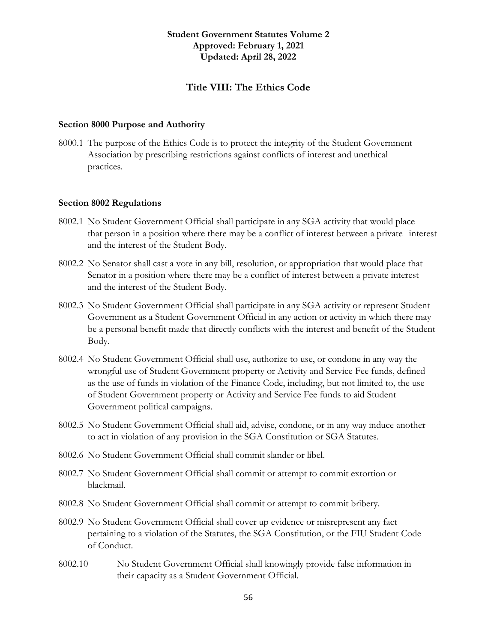#### **Title VIII: The Ethics Code**

#### <span id="page-55-1"></span><span id="page-55-0"></span>**Section 8000 Purpose and Authority**

8000.1 The purpose of the Ethics Code is to protect the integrity of the Student Government Association by prescribing restrictions against conflicts of interest and unethical practices.

#### <span id="page-55-2"></span>**Section 8002 Regulations**

- 8002.1 No Student Government Official shall participate in any SGA activity that would place that person in a position where there may be a conflict of interest between a private interest and the interest of the Student Body.
- 8002.2 No Senator shall cast a vote in any bill, resolution, or appropriation that would place that Senator in a position where there may be a conflict of interest between a private interest and the interest of the Student Body.
- 8002.3 No Student Government Official shall participate in any SGA activity or represent Student Government as a Student Government Official in any action or activity in which there may be a personal benefit made that directly conflicts with the interest and benefit of the Student Body.
- 8002.4 No Student Government Official shall use, authorize to use, or condone in any way the wrongful use of Student Government property or Activity and Service Fee funds, defined as the use of funds in violation of the Finance Code, including, but not limited to, the use of Student Government property or Activity and Service Fee funds to aid Student Government political campaigns.
- 8002.5 No Student Government Official shall aid, advise, condone, or in any way induce another to act in violation of any provision in the SGA Constitution or SGA Statutes.
- 8002.6 No Student Government Official shall commit slander or libel.
- 8002.7 No Student Government Official shall commit or attempt to commit extortion or blackmail.
- 8002.8 No Student Government Official shall commit or attempt to commit bribery.
- 8002.9 No Student Government Official shall cover up evidence or misrepresent any fact pertaining to a violation of the Statutes, the SGA Constitution, or the FIU Student Code of Conduct.
- 8002.10 No Student Government Official shall knowingly provide false information in their capacity as a Student Government Official.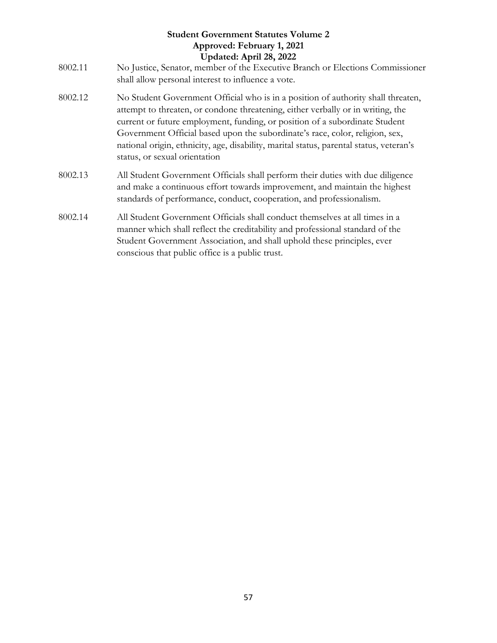| <b>Student Government Statutes Volume 2</b><br>Approved: February 1, 2021<br>Updated: April 28, 2022 |                                                                                                                                                                                                                                                                                                                                                                                                                                                                |  |
|------------------------------------------------------------------------------------------------------|----------------------------------------------------------------------------------------------------------------------------------------------------------------------------------------------------------------------------------------------------------------------------------------------------------------------------------------------------------------------------------------------------------------------------------------------------------------|--|
| 8002.11                                                                                              | No Justice, Senator, member of the Executive Branch or Elections Commissioner<br>shall allow personal interest to influence a vote.                                                                                                                                                                                                                                                                                                                            |  |
| 8002.12                                                                                              | No Student Government Official who is in a position of authority shall threaten,<br>attempt to threaten, or condone threatening, either verbally or in writing, the<br>current or future employment, funding, or position of a subordinate Student<br>Government Official based upon the subordinate's race, color, religion, sex,<br>national origin, ethnicity, age, disability, marital status, parental status, veteran's<br>status, or sexual orientation |  |
| 8002.13                                                                                              | All Student Government Officials shall perform their duties with due diligence<br>and make a continuous effort towards improvement, and maintain the highest<br>standards of performance, conduct, cooperation, and professionalism.                                                                                                                                                                                                                           |  |
| 8002.14                                                                                              | All Student Government Officials shall conduct themselves at all times in a<br>manner which shall reflect the creditability and professional standard of the<br>Student Government Association, and shall uphold these principles, ever<br>conscious that public office is a public trust.                                                                                                                                                                     |  |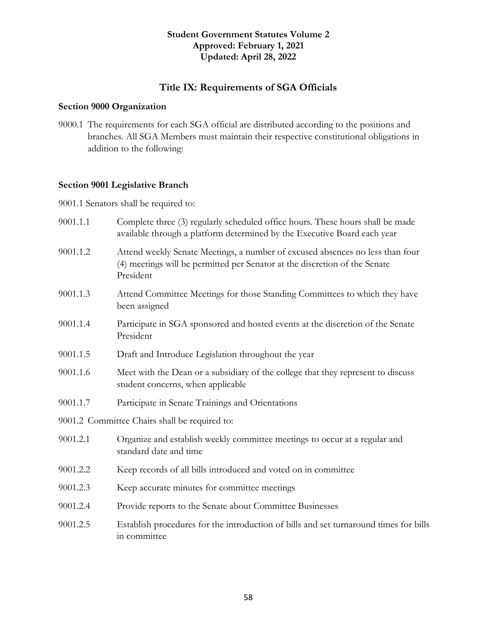#### **Title IX: Requirements of SGA Officials**

#### <span id="page-57-1"></span><span id="page-57-0"></span>**Section 9000 Organization**

9000.1 The requirements for each SGA official are distributed according to the positions and branches. All SGA Members must maintain their respective constitutional obligations in addition to the following:

#### <span id="page-57-2"></span>**Section 9001 Legislative Branch**

9001.1 Senators shall be required to:

- 9001.1.1 Complete three (3) regularly scheduled office hours. These hours shall be made available through a platform determined by the Executive Board each year
- 9001.1.2 Attend weekly Senate Meetings, a number of excused absences no less than four (4) meetings will be permitted per Senator at the discretion of the Senate President
- 9001.1.3 Attend Committee Meetings for those Standing Committees to which they have been assigned
- 9001.1.4 Participate in SGA sponsored and hosted events at the discretion of the Senate President
- 9001.1.5 Draft and Introduce Legislation throughout the year
- 9001.1.6 Meet with the Dean or a subsidiary of the college that they represent to discuss student concerns, when applicable
- 9001.1.7 Participate in Senate Trainings and Orientations
- 9001.2 Committee Chairs shall be required to:
- 9001.2.1 Organize and establish weekly committee meetings to occur at a regular and standard date and time
- 9001.2.2 Keep records of all bills introduced and voted on in committee
- 9001.2.3 Keep accurate minutes for committee meetings
- 9001.2.4 Provide reports to the Senate about Committee Businesses
- 9001.2.5 Establish procedures for the introduction of bills and set turnaround times for bills in committee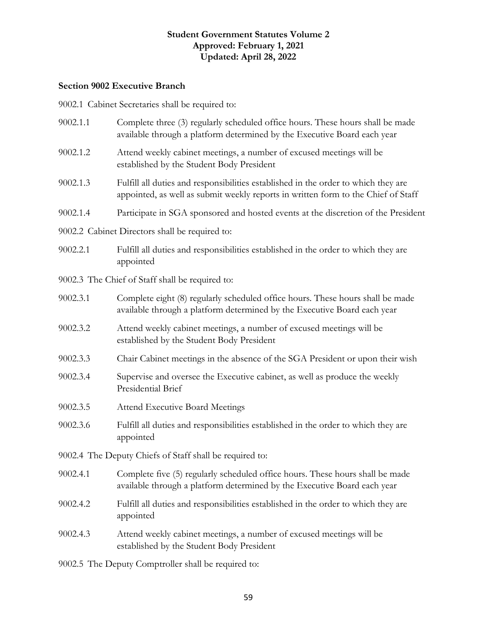### <span id="page-58-0"></span>**Section 9002 Executive Branch**

9002.1 Cabinet Secretaries shall be required to:

| 9002.1.1                                                | Complete three (3) regularly scheduled office hours. These hours shall be made<br>available through a platform determined by the Executive Board each year              |  |
|---------------------------------------------------------|-------------------------------------------------------------------------------------------------------------------------------------------------------------------------|--|
| 9002.1.2                                                | Attend weekly cabinet meetings, a number of excused meetings will be<br>established by the Student Body President                                                       |  |
| 9002.1.3                                                | Fulfill all duties and responsibilities established in the order to which they are<br>appointed, as well as submit weekly reports in written form to the Chief of Staff |  |
| 9002.1.4                                                | Participate in SGA sponsored and hosted events at the discretion of the President                                                                                       |  |
|                                                         | 9002.2 Cabinet Directors shall be required to:                                                                                                                          |  |
| 9002.2.1                                                | Fulfill all duties and responsibilities established in the order to which they are<br>appointed                                                                         |  |
|                                                         | 9002.3 The Chief of Staff shall be required to:                                                                                                                         |  |
| 9002.3.1                                                | Complete eight (8) regularly scheduled office hours. These hours shall be made<br>available through a platform determined by the Executive Board each year              |  |
| 9002.3.2                                                | Attend weekly cabinet meetings, a number of excused meetings will be<br>established by the Student Body President                                                       |  |
| 9002.3.3                                                | Chair Cabinet meetings in the absence of the SGA President or upon their wish                                                                                           |  |
| 9002.3.4                                                | Supervise and oversee the Executive cabinet, as well as produce the weekly<br>Presidential Brief                                                                        |  |
| 9002.3.5                                                | <b>Attend Executive Board Meetings</b>                                                                                                                                  |  |
| 9002.3.6                                                | Fulfill all duties and responsibilities established in the order to which they are<br>appointed                                                                         |  |
| 9002.4 The Deputy Chiefs of Staff shall be required to: |                                                                                                                                                                         |  |
| 9002.4.1                                                | Complete five (5) regularly scheduled office hours. These hours shall be made<br>available through a platform determined by the Executive Board each year               |  |
| 9002.4.2                                                | Fulfill all duties and responsibilities established in the order to which they are<br>appointed                                                                         |  |
| 9002.4.3                                                | Attend weekly cabinet meetings, a number of excused meetings will be<br>established by the Student Body President                                                       |  |
| 9002.5 The Deputy Comptroller shall be required to:     |                                                                                                                                                                         |  |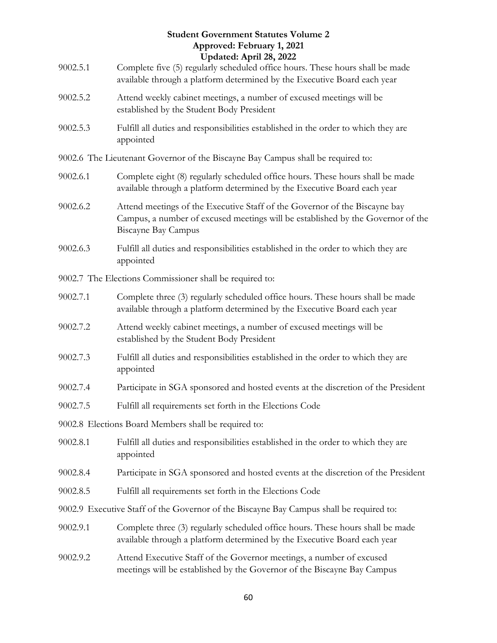|          | <b>Student Government Statutes Volume 2</b><br>Approved: February 1, 2021<br>Updated: April 28, 2022                                                                                        |
|----------|---------------------------------------------------------------------------------------------------------------------------------------------------------------------------------------------|
| 9002.5.1 | Complete five (5) regularly scheduled office hours. These hours shall be made<br>available through a platform determined by the Executive Board each year                                   |
| 9002.5.2 | Attend weekly cabinet meetings, a number of excused meetings will be<br>established by the Student Body President                                                                           |
| 9002.5.3 | Fulfill all duties and responsibilities established in the order to which they are<br>appointed                                                                                             |
|          | 9002.6 The Lieutenant Governor of the Biscayne Bay Campus shall be required to:                                                                                                             |
| 9002.6.1 | Complete eight (8) regularly scheduled office hours. These hours shall be made<br>available through a platform determined by the Executive Board each year                                  |
| 9002.6.2 | Attend meetings of the Executive Staff of the Governor of the Biscayne bay<br>Campus, a number of excused meetings will be established by the Governor of the<br><b>Biscayne Bay Campus</b> |
| 9002.6.3 | Fulfill all duties and responsibilities established in the order to which they are<br>appointed                                                                                             |
|          | 9002.7 The Elections Commissioner shall be required to:                                                                                                                                     |
| 9002.7.1 | Complete three (3) regularly scheduled office hours. These hours shall be made<br>available through a platform determined by the Executive Board each year                                  |
| 9002.7.2 | Attend weekly cabinet meetings, a number of excused meetings will be<br>established by the Student Body President                                                                           |
| 9002.7.3 | Fulfill all duties and responsibilities established in the order to which they are<br>appointed                                                                                             |
| 9002.7.4 | Participate in SGA sponsored and hosted events at the discretion of the President                                                                                                           |
| 9002.7.5 | Fulfill all requirements set forth in the Elections Code                                                                                                                                    |
|          | 9002.8 Elections Board Members shall be required to:                                                                                                                                        |
| 9002.8.1 | Fulfill all duties and responsibilities established in the order to which they are<br>appointed                                                                                             |
| 9002.8.4 | Participate in SGA sponsored and hosted events at the discretion of the President                                                                                                           |
| 9002.8.5 | Fulfill all requirements set forth in the Elections Code                                                                                                                                    |
|          | 9002.9 Executive Staff of the Governor of the Biscayne Bay Campus shall be required to:                                                                                                     |
| 9002.9.1 | Complete three (3) regularly scheduled office hours. These hours shall be made<br>available through a platform determined by the Executive Board each year                                  |
| 9002.9.2 | Attend Executive Staff of the Governor meetings, a number of excused<br>meetings will be established by the Governor of the Biscayne Bay Campus                                             |
|          |                                                                                                                                                                                             |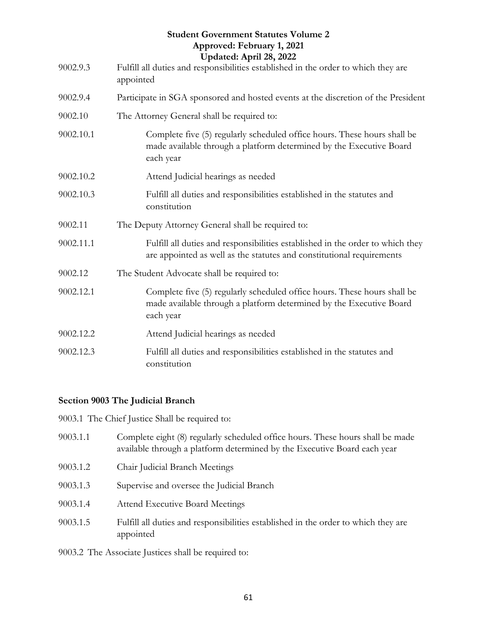|           | <b>Student Government Statutes Volume 2</b><br>Approved: February 1, 2021<br>Updated: April 28, 2022                                                         |
|-----------|--------------------------------------------------------------------------------------------------------------------------------------------------------------|
| 9002.9.3  | Fulfill all duties and responsibilities established in the order to which they are<br>appointed                                                              |
| 9002.9.4  | Participate in SGA sponsored and hosted events at the discretion of the President                                                                            |
| 9002.10   | The Attorney General shall be required to:                                                                                                                   |
| 9002.10.1 | Complete five (5) regularly scheduled office hours. These hours shall be<br>made available through a platform determined by the Executive Board<br>each year |
| 9002.10.2 | Attend Judicial hearings as needed                                                                                                                           |
| 9002.10.3 | Fulfill all duties and responsibilities established in the statutes and<br>constitution                                                                      |
| 9002.11   | The Deputy Attorney General shall be required to:                                                                                                            |
| 9002.11.1 | Fulfill all duties and responsibilities established in the order to which they<br>are appointed as well as the statutes and constitutional requirements      |
| 9002.12   | The Student Advocate shall be required to:                                                                                                                   |
| 9002.12.1 | Complete five (5) regularly scheduled office hours. These hours shall be<br>made available through a platform determined by the Executive Board<br>each year |
| 9002.12.2 | Attend Judicial hearings as needed                                                                                                                           |
| 9002.12.3 | Fulfill all duties and responsibilities established in the statutes and<br>constitution                                                                      |

#### <span id="page-60-0"></span>**Section 9003 The Judicial Branch**

9003.1 The Chief Justice Shall be required to:

- 9003.1.1 Complete eight (8) regularly scheduled office hours. These hours shall be made available through a platform determined by the Executive Board each year
- 9003.1.2 Chair Judicial Branch Meetings
- 9003.1.3 Supervise and oversee the Judicial Branch
- 9003.1.4 Attend Executive Board Meetings
- 9003.1.5 Fulfill all duties and responsibilities established in the order to which they are appointed

9003.2 The Associate Justices shall be required to: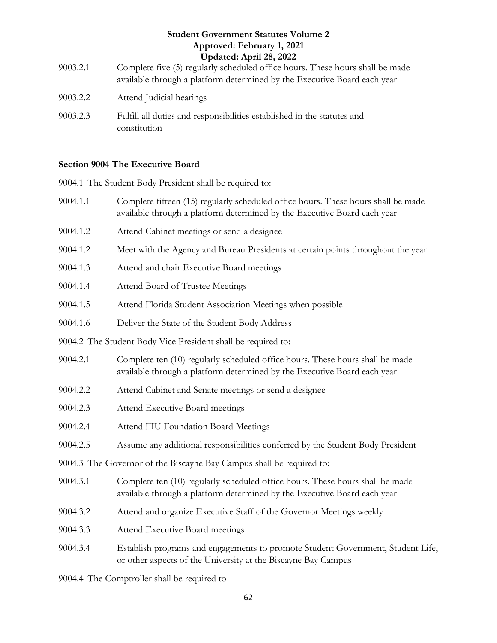|          | <b>Student Government Statutes Volume 2</b>                                                                                                               |
|----------|-----------------------------------------------------------------------------------------------------------------------------------------------------------|
|          | Approved: February 1, 2021                                                                                                                                |
|          | Updated: April 28, 2022                                                                                                                                   |
| 9003.2.1 | Complete five (5) regularly scheduled office hours. These hours shall be made<br>available through a platform determined by the Executive Board each year |
| 9003.2.2 | Attend Judicial hearings                                                                                                                                  |
| 9003.2.3 | Fulfill all duties and responsibilities established in the statutes and<br>constitution                                                                   |

#### <span id="page-61-0"></span>**Section 9004 The Executive Board**

9004.1 The Student Body President shall be required to:

- 9004.1.1 Complete fifteen (15) regularly scheduled office hours. These hours shall be made available through a platform determined by the Executive Board each year
- 9004.1.2 Attend Cabinet meetings or send a designee
- 9004.1.2 Meet with the Agency and Bureau Presidents at certain points throughout the year
- 9004.1.3 Attend and chair Executive Board meetings
- 9004.1.4 Attend Board of Trustee Meetings
- 9004.1.5 Attend Florida Student Association Meetings when possible
- 9004.1.6 Deliver the State of the Student Body Address
- 9004.2 The Student Body Vice President shall be required to:
- 9004.2.1 Complete ten (10) regularly scheduled office hours. These hours shall be made available through a platform determined by the Executive Board each year
- 9004.2.2 Attend Cabinet and Senate meetings or send a designee
- 9004.2.3 Attend Executive Board meetings
- 9004.2.4 Attend FIU Foundation Board Meetings
- 9004.2.5 Assume any additional responsibilities conferred by the Student Body President
- 9004.3 The Governor of the Biscayne Bay Campus shall be required to:
- 9004.3.1 Complete ten (10) regularly scheduled office hours. These hours shall be made available through a platform determined by the Executive Board each year
- 9004.3.2 Attend and organize Executive Staff of the Governor Meetings weekly
- 9004.3.3 Attend Executive Board meetings
- 9004.3.4 Establish programs and engagements to promote Student Government, Student Life, or other aspects of the University at the Biscayne Bay Campus

9004.4 The Comptroller shall be required to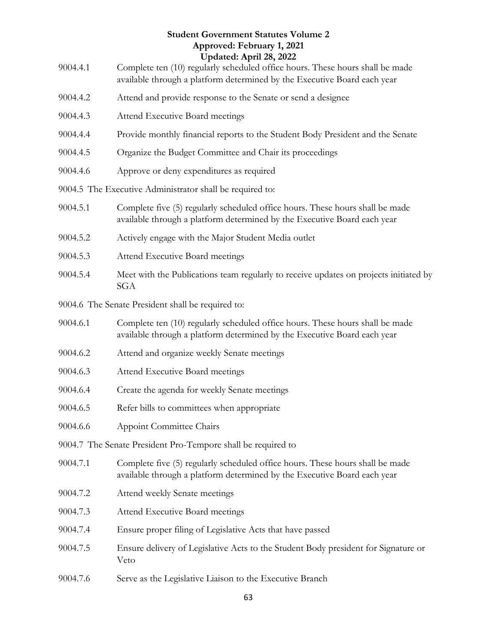| 9004.4.1 | <b>Student Government Statutes Volume 2</b><br>Approved: February 1, 2021<br>Updated: April 28, 2022<br>Complete ten (10) regularly scheduled office hours. These hours shall be made |
|----------|---------------------------------------------------------------------------------------------------------------------------------------------------------------------------------------|
|          | available through a platform determined by the Executive Board each year                                                                                                              |
| 9004.4.2 | Attend and provide response to the Senate or send a designee                                                                                                                          |
| 9004.4.3 | Attend Executive Board meetings                                                                                                                                                       |
| 9004.4.4 | Provide monthly financial reports to the Student Body President and the Senate                                                                                                        |
| 9004.4.5 | Organize the Budget Committee and Chair its proceedings                                                                                                                               |
| 9004.4.6 | Approve or deny expenditures as required                                                                                                                                              |
|          | 9004.5 The Executive Administrator shall be required to:                                                                                                                              |
| 9004.5.1 | Complete five (5) regularly scheduled office hours. These hours shall be made<br>available through a platform determined by the Executive Board each year                             |
| 9004.5.2 | Actively engage with the Major Student Media outlet                                                                                                                                   |
| 9004.5.3 | Attend Executive Board meetings                                                                                                                                                       |
| 9004.5.4 | Meet with the Publications team regularly to receive updates on projects initiated by<br><b>SGA</b>                                                                                   |
|          | 9004.6 The Senate President shall be required to:                                                                                                                                     |
| 9004.6.1 | Complete ten (10) regularly scheduled office hours. These hours shall be made<br>available through a platform determined by the Executive Board each year                             |
| 9004.6.2 | Attend and organize weekly Senate meetings                                                                                                                                            |
| 9004.6.3 | Attend Executive Board meetings                                                                                                                                                       |
| 9004.6.4 | Create the agenda for weekly Senate meetings                                                                                                                                          |
| 9004.6.5 | Refer bills to committees when appropriate                                                                                                                                            |
| 9004.6.6 | <b>Appoint Committee Chairs</b>                                                                                                                                                       |
|          | 9004.7 The Senate President Pro-Tempore shall be required to                                                                                                                          |
| 9004.7.1 | Complete five (5) regularly scheduled office hours. These hours shall be made<br>available through a platform determined by the Executive Board each year                             |
| 9004.7.2 | Attend weekly Senate meetings                                                                                                                                                         |
| 9004.7.3 | Attend Executive Board meetings                                                                                                                                                       |
| 9004.7.4 | Ensure proper filing of Legislative Acts that have passed                                                                                                                             |
| 9004.7.5 | Ensure delivery of Legislative Acts to the Student Body president for Signature or<br>Veto                                                                                            |
| 9004.7.6 | Serve as the Legislative Liaison to the Executive Branch                                                                                                                              |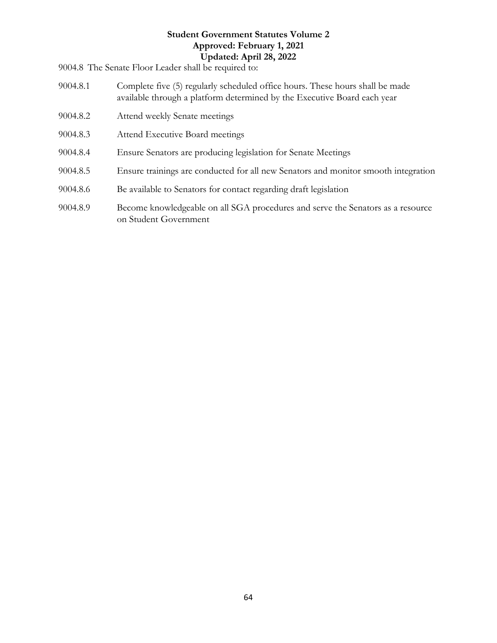9004.8 The Senate Floor Leader shall be required to:

- 9004.8.1 Complete five (5) regularly scheduled office hours. These hours shall be made available through a platform determined by the Executive Board each year
- 9004.8.2 Attend weekly Senate meetings
- 9004.8.3 Attend Executive Board meetings
- 9004.8.4 Ensure Senators are producing legislation for Senate Meetings
- 9004.8.5 Ensure trainings are conducted for all new Senators and monitor smooth integration
- 9004.8.6 Be available to Senators for contact regarding draft legislation
- <span id="page-63-0"></span>9004.8.9 Become knowledgeable on all SGA procedures and serve the Senators as a resource on Student Government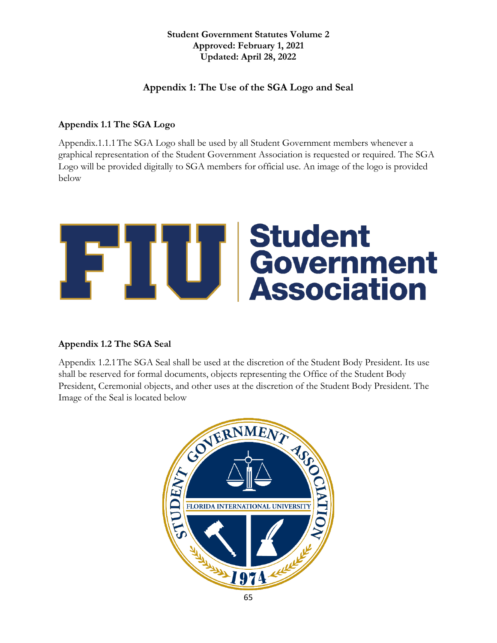#### **Appendix 1: The Use of the SGA Logo and Seal**

#### <span id="page-64-0"></span>**Appendix 1.1 The SGA Logo**

Appendix.1.1.1The SGA Logo shall be used by all Student Government members whenever a graphical representation of the Student Government Association is requested or required. The SGA Logo will be provided digitally to SGA members for official use. An image of the logo is provided below



#### <span id="page-64-1"></span>**Appendix 1.2 The SGA Seal**

Appendix 1.2.1The SGA Seal shall be used at the discretion of the Student Body President. Its use shall be reserved for formal documents, objects representing the Office of the Student Body President, Ceremonial objects, and other uses at the discretion of the Student Body President. The Image of the Seal is located below

<span id="page-64-2"></span>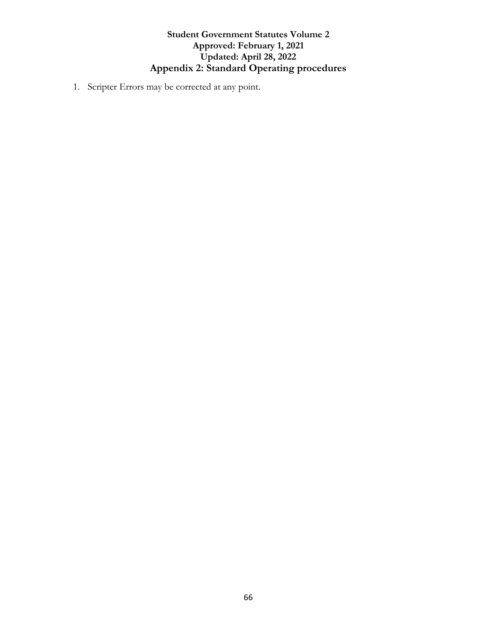#### **Student Government Statutes Volume 2 Approved: February 1, 2021 Updated: April 28, 2022 Appendix 2: Standard Operating procedures**

1. Scripter Errors may be corrected at any point.